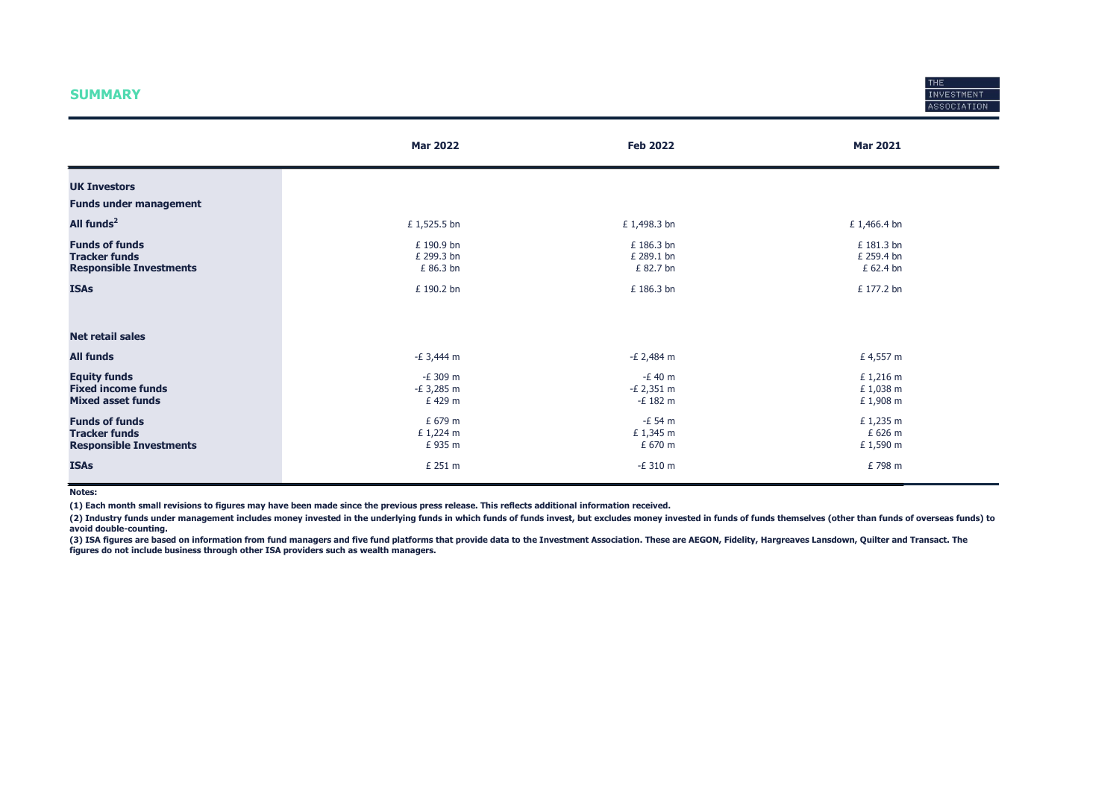#### **SUMMARY**



|                                                                                 | <b>Mar 2022</b>                       | <b>Feb 2022</b>                       | <b>Mar 2021</b>                       |
|---------------------------------------------------------------------------------|---------------------------------------|---------------------------------------|---------------------------------------|
| <b>UK Investors</b>                                                             |                                       |                                       |                                       |
| <b>Funds under management</b>                                                   |                                       |                                       |                                       |
| All funds <sup>2</sup>                                                          | £ 1,525.5 bn                          | £1,498.3 bn                           | £ 1,466.4 bn                          |
| <b>Funds of funds</b><br><b>Tracker funds</b><br><b>Responsible Investments</b> | £ 190.9 bn<br>£ 299.3 bn<br>£ 86.3 bn | £ 186.3 bn<br>£ 289.1 bn<br>£ 82.7 bn | £ 181.3 bn<br>£ 259.4 bn<br>£ 62.4 bn |
| <b>ISAs</b>                                                                     | £ 190.2 bn                            | £ 186.3 bn                            | £ 177.2 bn                            |
| <b>Net retail sales</b>                                                         |                                       |                                       |                                       |
| <b>All funds</b>                                                                | $-E$ 3,444 m                          | $-E$ 2,484 m                          | £ 4,557 m                             |
| <b>Equity funds</b><br><b>Fixed income funds</b><br><b>Mixed asset funds</b>    | -£ 309 m<br>$-E$ 3,285 m<br>£ 429 m   | $-E$ 40 m<br>$-E$ 2,351 m<br>-£ 182 m | £ 1,216 m<br>£ 1,038 m<br>£1,908 m    |
| <b>Funds of funds</b><br><b>Tracker funds</b><br><b>Responsible Investments</b> | £ 679 m<br>£ 1,224 m<br>£935 m        | $-E$ 54 m<br>£1,345 m<br>£ 670 m      | £ 1,235 m<br>£ 626 m<br>£ 1,590 m     |
| <b>ISAs</b>                                                                     | £ 251 m                               | $-E$ 310 m                            | £798 m                                |

Notes:

(1) Each month small revisions to figures may have been made since the previous press release. This reflects additional information received.

(2) Industry funds under management includes money invested in the underlying funds in which funds of funds invest, but excludes money invested in funds of funds themselves (other than funds of overseas funds) to avoid double-counting.

(3) ISA figures are based on information from fund managers and five fund platforms that provide data to the Investment Association. These are AEGON, Fidelity, Hargreaves Lansdown, Quilter and Transact. The figures do not include business through other ISA providers such as wealth managers.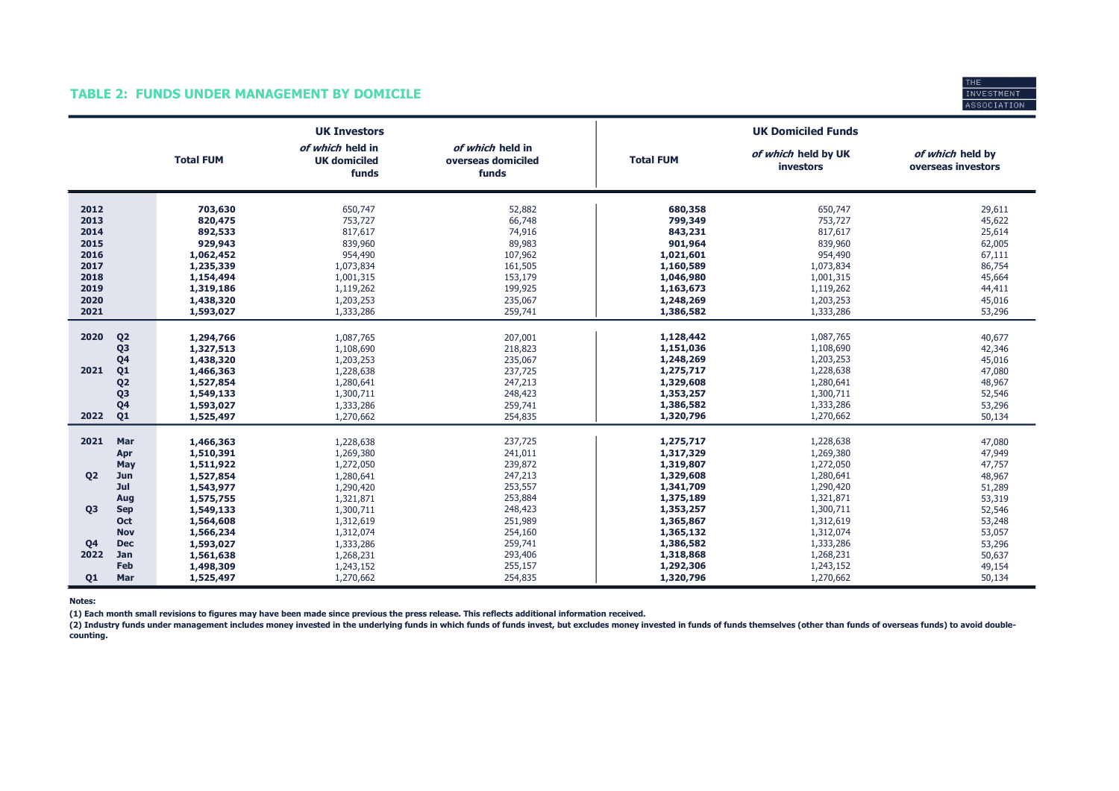#### TABLE 2: FUNDS UNDER MANAGEMENT BY DOMICILE



|                                                                                                                                              |                                                                                                                        | <b>UK Investors</b>                                                                                                  |                                                                                                        |                                                                                                                        | <b>UK Domiciled Funds</b>                                                                                            |                                                                                                  |
|----------------------------------------------------------------------------------------------------------------------------------------------|------------------------------------------------------------------------------------------------------------------------|----------------------------------------------------------------------------------------------------------------------|--------------------------------------------------------------------------------------------------------|------------------------------------------------------------------------------------------------------------------------|----------------------------------------------------------------------------------------------------------------------|--------------------------------------------------------------------------------------------------|
|                                                                                                                                              | <b>Total FUM</b>                                                                                                       | of which held in<br><b>UK domiciled</b><br>funds                                                                     | of which held in<br>overseas domiciled<br>funds                                                        | <b>Total FUM</b>                                                                                                       | of which held by UK<br><b>investors</b>                                                                              | of which held by<br>overseas investors                                                           |
| 2012<br>2013<br>2014<br>2015<br>2016<br>2017<br>2018<br>2019<br>2020<br>2021                                                                 | 703,630<br>820,475<br>892,533<br>929,943<br>1,062,452<br>1,235,339<br>1,154,494<br>1,319,186<br>1,438,320<br>1,593,027 | 650,747<br>753,727<br>817,617<br>839,960<br>954,490<br>1,073,834<br>1,001,315<br>1,119,262<br>1,203,253<br>1,333,286 | 52,882<br>66,748<br>74,916<br>89,983<br>107,962<br>161,505<br>153,179<br>199,925<br>235,067<br>259,741 | 680,358<br>799,349<br>843,231<br>901,964<br>1,021,601<br>1,160,589<br>1,046,980<br>1,163,673<br>1,248,269<br>1,386,582 | 650,747<br>753,727<br>817,617<br>839,960<br>954,490<br>1,073,834<br>1,001,315<br>1,119,262<br>1,203,253<br>1,333,286 | 29,611<br>45,622<br>25,614<br>62,005<br>67,111<br>86,754<br>45,664<br>44,411<br>45,016<br>53,296 |
| Q <sub>2</sub><br>2020<br>Q <sub>3</sub><br>Q <sub>4</sub><br>2021<br>Q1<br>Q <sub>2</sub><br>Q <sub>3</sub><br>Q <sub>4</sub><br>Q1<br>2022 | 1,294,766<br>1,327,513<br>1,438,320<br>1,466,363<br>1,527,854<br>1,549,133<br>1,593,027<br>1,525,497                   | 1,087,765<br>1,108,690<br>1,203,253<br>1,228,638<br>1,280,641<br>1,300,711<br>1,333,286<br>1,270,662                 | 207,001<br>218,823<br>235,067<br>237,725<br>247,213<br>248,423<br>259,741<br>254,835                   | 1,128,442<br>1,151,036<br>1,248,269<br>1,275,717<br>1,329,608<br>1,353,257<br>1,386,582<br>1,320,796                   | 1,087,765<br>1,108,690<br>1,203,253<br>1,228,638<br>1,280,641<br>1,300,711<br>1,333,286<br>1,270,662                 | 40,677<br>42,346<br>45,016<br>47,080<br>48,967<br>52,546<br>53,296<br>50,134                     |
| 2021<br>Mar<br>Apr<br>May<br><b>Q2</b><br>Jun<br>Jul<br>Aug                                                                                  | 1,466,363<br>1,510,391<br>1,511,922<br>1,527,854<br>1,543,977<br>1,575,755                                             | 1,228,638<br>1,269,380<br>1,272,050<br>1,280,641<br>1,290,420<br>1,321,871                                           | 237,725<br>241,011<br>239,872<br>247,213<br>253,557<br>253,884                                         | 1,275,717<br>1,317,329<br>1,319,807<br>1,329,608<br>1,341,709<br>1,375,189                                             | 1,228,638<br>1,269,380<br>1,272,050<br>1,280,641<br>1,290,420<br>1,321,871                                           | 47,080<br>47,949<br>47,757<br>48,967<br>51,289<br>53,319                                         |
| <b>Q3</b><br><b>Sep</b><br><b>Oct</b><br><b>Nov</b><br>Q <sub>4</sub><br><b>Dec</b><br>2022<br>Jan<br>Feb<br>Q1<br>Mar                       | 1,549,133<br>1,564,608<br>1,566,234<br>1,593,027<br>1,561,638<br>1,498,309<br>1,525,497                                | 1,300,711<br>1,312,619<br>1,312,074<br>1,333,286<br>1,268,231<br>1,243,152<br>1,270,662                              | 248,423<br>251,989<br>254,160<br>259,741<br>293,406<br>255,157<br>254,835                              | 1,353,257<br>1,365,867<br>1,365,132<br>1,386,582<br>1,318,868<br>1,292,306<br>1,320,796                                | 1,300,711<br>1,312,619<br>1,312,074<br>1,333,286<br>1,268,231<br>1,243,152<br>1,270,662                              | 52,546<br>53,248<br>53,057<br>53,296<br>50,637<br>49,154<br>50,134                               |

Notes:

(1) Each month small revisions to figures may have been made since previous the press release. This reflects additional information received.

(2) Industry funds under management includes money invested in the underlying funds in which funds of funds invest, but excludes money invested in funds of funds themselves (other than funds of overseas funds) to avoid dou counting.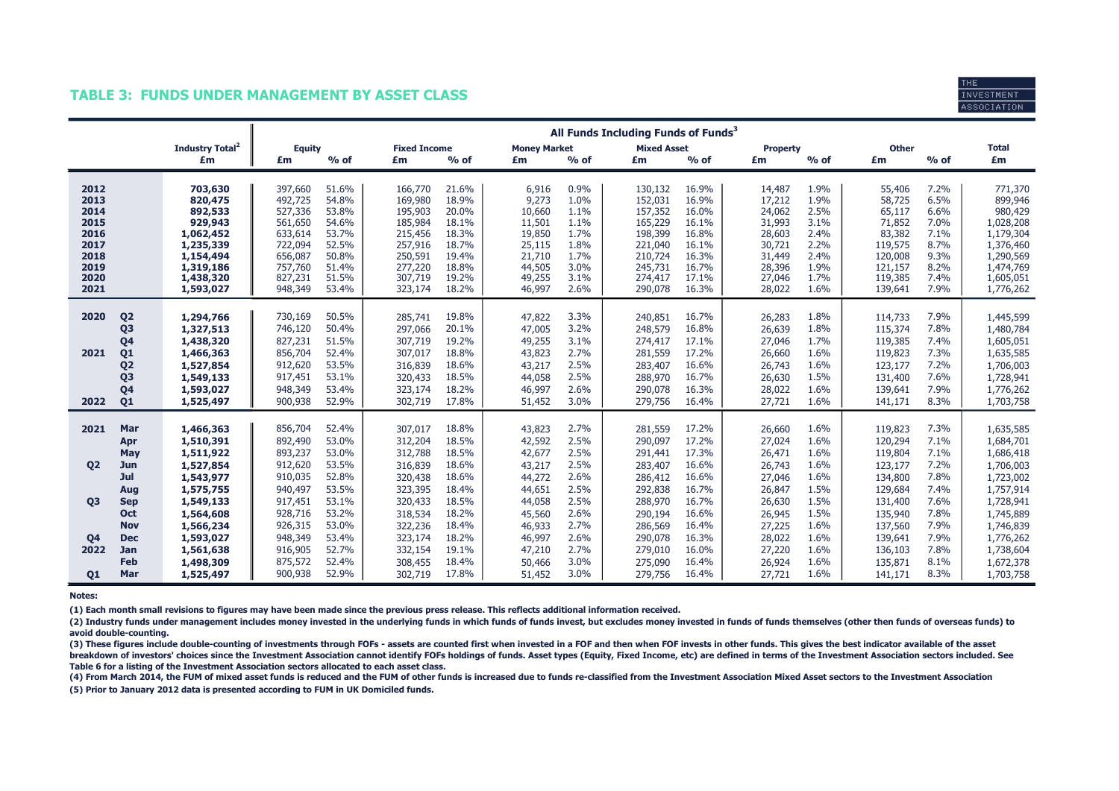#### TABLE 3: FUNDS UNDER MANAGEMENT BY ASSET CLASS



|                |                                  |                             | All Funds Including Funds of Funds <sup>3</sup> |                |                     |                |                     |              |                    |                |                  |              |                    |              |                        |
|----------------|----------------------------------|-----------------------------|-------------------------------------------------|----------------|---------------------|----------------|---------------------|--------------|--------------------|----------------|------------------|--------------|--------------------|--------------|------------------------|
|                |                                  | Industry Total <sup>2</sup> | <b>Equity</b>                                   |                | <b>Fixed Income</b> |                | <b>Money Market</b> |              | <b>Mixed Asset</b> |                | <b>Property</b>  |              | Other              |              | <b>Total</b>           |
|                |                                  | £m                          | £m                                              | $%$ of         | £m                  | $%$ of         | £m                  | $%$ of       | £m                 | $%$ of         | £m               | $%$ of       | £m                 | $%$ of       | £m                     |
| 2012           |                                  | 703,630                     | 397,660                                         | 51.6%          | 166,770             | 21.6%          | 6,916               | 0.9%         | 130,132            | 16.9%          | 14,487           | 1.9%         | 55,406             | 7.2%         | 771,370                |
| 2013           |                                  | 820,475                     | 492,725                                         | 54.8%          | 169,980             | 18.9%          | 9,273               | 1.0%         | 152,031            | 16.9%          | 17,212           | 1.9%         | 58,725             | 6.5%         | 899,946                |
| 2014           |                                  | 892,533                     | 527,336                                         | 53.8%          | 195,903             | 20.0%          | 10,660              | 1.1%         | 157,352            | 16.0%          | 24,062           | 2.5%         | 65,117             | 6.6%         | 980,429                |
| 2015           |                                  | 929,943                     | 561,650                                         | 54.6%          | 185,984             | 18.1%          | 11,501              | 1.1%         | 165,229            | 16.1%          | 31,993           | 3.1%         | 71,852             | 7.0%         | 1,028,208              |
| 2016<br>2017   |                                  | 1,062,452                   | 633,614<br>722,094                              | 53.7%<br>52.5% | 215,456<br>257,916  | 18.3%<br>18.7% | 19,850<br>25,115    | 1.7%<br>1.8% | 198,399            | 16.8%<br>16.1% | 28,603<br>30,721 | 2.4%<br>2.2% | 83,382<br>119,575  | 7.1%<br>8.7% | 1,179,304<br>1,376,460 |
| 2018           |                                  | 1,235,339<br>1,154,494      | 656,087                                         | 50.8%          | 250,591             | 19.4%          | 21,710              | 1.7%         | 221,040<br>210,724 | 16.3%          | 31,449           | 2.4%         | 120,008            | 9.3%         | 1,290,569              |
| 2019           |                                  | 1,319,186                   | 757,760                                         | 51.4%          | 277,220             | 18.8%          | 44,505              | 3.0%         | 245,731            | 16.7%          | 28,396           | 1.9%         | 121,157            | 8.2%         | 1,474,769              |
| 2020           |                                  | 1,438,320                   | 827,231                                         | 51.5%          | 307,719             | 19.2%          | 49,255              | 3.1%         | 274,417            | 17.1%          | 27,046           | 1.7%         | 119,385            | 7.4%         | 1,605,051              |
| 2021           |                                  | 1,593,027                   | 948,349                                         | 53.4%          | 323,174             | 18.2%          | 46,997              | 2.6%         | 290,078            | 16.3%          | 28,022           | 1.6%         | 139,641            | 7.9%         | 1,776,262              |
|                |                                  |                             |                                                 |                |                     |                |                     |              |                    |                |                  |              |                    |              |                        |
| 2020           | Q <sub>2</sub>                   | 1,294,766                   | 730,169                                         | 50.5%          | 285,741             | 19.8%          | 47,822              | 3.3%         | 240,851            | 16.7%          | 26,283           | 1.8%         | 114,733            | 7.9%         | 1,445,599              |
|                | Q3                               | 1,327,513                   | 746,120                                         | 50.4%          | 297,066             | 20.1%          | 47,005              | 3.2%         | 248,579            | 16.8%          | 26,639           | 1.8%         | 115,374            | 7.8%         | 1,480,784              |
|                | Q <sub>4</sub>                   | 1,438,320                   | 827,231                                         | 51.5%          | 307,719             | 19.2%          | 49,255              | 3.1%         | 274,417            | 17.1%          | 27,046           | 1.7%         | 119,385            | 7.4%         | 1,605,051              |
| 2021           | Q <sub>1</sub>                   | 1,466,363                   | 856,704                                         | 52.4%<br>53.5% | 307,017             | 18.8%<br>18.6% | 43,823              | 2.7%<br>2.5% | 281,559            | 17.2%<br>16.6% | 26,660           | 1.6%<br>1.6% | 119,823            | 7.3%<br>7.2% | 1,635,585              |
|                | Q <sub>2</sub><br>Q <sub>3</sub> | 1,527,854                   | 912,620<br>917,451                              | 53.1%          | 316,839<br>320,433  | 18.5%          | 43,217              | 2.5%         | 283,407<br>288,970 | 16.7%          | 26,743<br>26,630 | 1.5%         | 123,177<br>131,400 | 7.6%         | 1,706,003              |
|                | Q4                               | 1,549,133<br>1,593,027      | 948,349                                         | 53.4%          | 323,174             | 18.2%          | 44,058<br>46,997    | 2.6%         | 290,078            | 16.3%          | 28,022           | 1.6%         | 139,641            | 7.9%         | 1,728,941<br>1,776,262 |
| 2022           | Q <sub>1</sub>                   | 1,525,497                   | 900,938                                         | 52.9%          | 302,719             | 17.8%          | 51,452              | 3.0%         | 279,756            | 16.4%          | 27,721           | 1.6%         | 141,171            | 8.3%         | 1,703,758              |
|                |                                  |                             |                                                 |                |                     |                |                     |              |                    |                |                  |              |                    |              |                        |
| 2021           | Mar                              | 1,466,363                   | 856,704                                         | 52.4%          | 307,017             | 18.8%          | 43,823              | 2.7%         | 281,559            | 17.2%          | 26,660           | 1.6%         | 119,823            | 7.3%         | 1,635,585              |
|                | Apr                              | 1,510,391                   | 892,490                                         | 53.0%          | 312,204             | 18.5%          | 42,592              | 2.5%         | 290,097            | 17.2%          | 27,024           | 1.6%         | 120,294            | 7.1%         | 1,684,701              |
|                | May                              | 1,511,922                   | 893,237                                         | 53.0%          | 312,788             | 18.5%          | 42,677              | 2.5%         | 291,441            | 17.3%          | 26,471           | 1.6%         | 119,804            | 7.1%         | 1,686,418              |
| <b>Q2</b>      | <b>Jun</b>                       | 1,527,854                   | 912,620                                         | 53.5%          | 316,839             | 18.6%          | 43,217              | 2.5%         | 283,407            | 16.6%          | 26,743           | 1.6%         | 123,177            | 7.2%         | 1,706,003              |
|                | Jul                              | 1,543,977                   | 910,035                                         | 52.8%          | 320,438             | 18.6%          | 44,272              | 2.6%         | 286,412            | 16.6%          | 27,046           | 1.6%         | 134,800            | 7.8%         | 1,723,002              |
|                | Aug                              | 1,575,755                   | 940,497                                         | 53.5%          | 323,395             | 18.4%          | 44,651              | 2.5%         | 292,838            | 16.7%          | 26,847           | 1.5%         | 129,684            | 7.4%         | 1,757,914              |
| O <sub>3</sub> | <b>Sep</b>                       | 1,549,133                   | 917,451                                         | 53.1%          | 320,433             | 18.5%          | 44,058              | 2.5%         | 288,970            | 16.7%          | 26,630           | 1.5%         | 131,400            | 7.6%         | 1,728,941              |
|                | Oct                              | 1,564,608                   | 928,716                                         | 53.2%          | 318,534             | 18.2%          | 45,560              | 2.6%         | 290,194            | 16.6%          | 26,945           | 1.5%         | 135,940            | 7.8%         | 1,745,889              |
|                | <b>Nov</b>                       | 1,566,234                   | 926,315                                         | 53.0%          | 322,236             | 18.4%          | 46,933              | 2.7%         | 286,569            | 16.4%          | 27,225           | 1.6%         | 137,560            | 7.9%         | 1,746,839              |
| Q <sub>4</sub> | <b>Dec</b>                       | 1,593,027                   | 948,349                                         | 53.4%          | 323,174             | 18.2%          | 46,997              | 2.6%         | 290,078            | 16.3%          | 28,022           | 1.6%         | 139,641            | 7.9%         | 1,776,262              |
| 2022           | Jan                              | 1,561,638                   | 916,905                                         | 52.7%          | 332,154             | 19.1%          | 47,210              | 2.7%         | 279,010            | 16.0%          | 27,220           | 1.6%         | 136,103            | 7.8%         | 1,738,604              |
|                | Feb<br>Mar                       | 1,498,309                   | 875,572                                         | 52.4%          | 308,455             | 18.4%          | 50,466              | 3.0%         | 275,090            | 16.4%          | 26,924           | 1.6%         | 135,871            | 8.1%         | 1,672,378              |
| Q1             |                                  | 1,525,497                   | 900,938                                         | 52.9%          | 302,719             | 17.8%          | 51,452              | 3.0%         | 279,756            | 16.4%          | 27,721           | 1.6%         | 141,171            | 8.3%         | 1,703,758              |

Notes:

(1) Each month small revisions to figures may have been made since the previous press release. This reflects additional information received.

(2) Industry funds under management includes money invested in the underlying funds in which funds of funds invest, but excludes money invested in funds of funds themselves (other then funds of overseas funds) to avoid double-counting.

(3) These figures include double-counting of investments through FOFs - assets are counted first when invested in a FOF and then when FOF invests in other funds. This gives the best indicator available of the asset breakdown of investors' choices since the Investment Association cannot identify FOFs holdings of funds. Asset types (Equity, Fixed Income, etc) are defined in terms of the Investment Association sectors included. See Table 6 for a listing of the Investment Association sectors allocated to each asset class.

(5) Prior to January 2012 data is presented according to FUM in UK Domiciled funds. (4) From March 2014, the FUM of mixed asset funds is reduced and the FUM of other funds is increased due to funds re-classified from the Investment Association Mixed Asset sectors to the Investment Association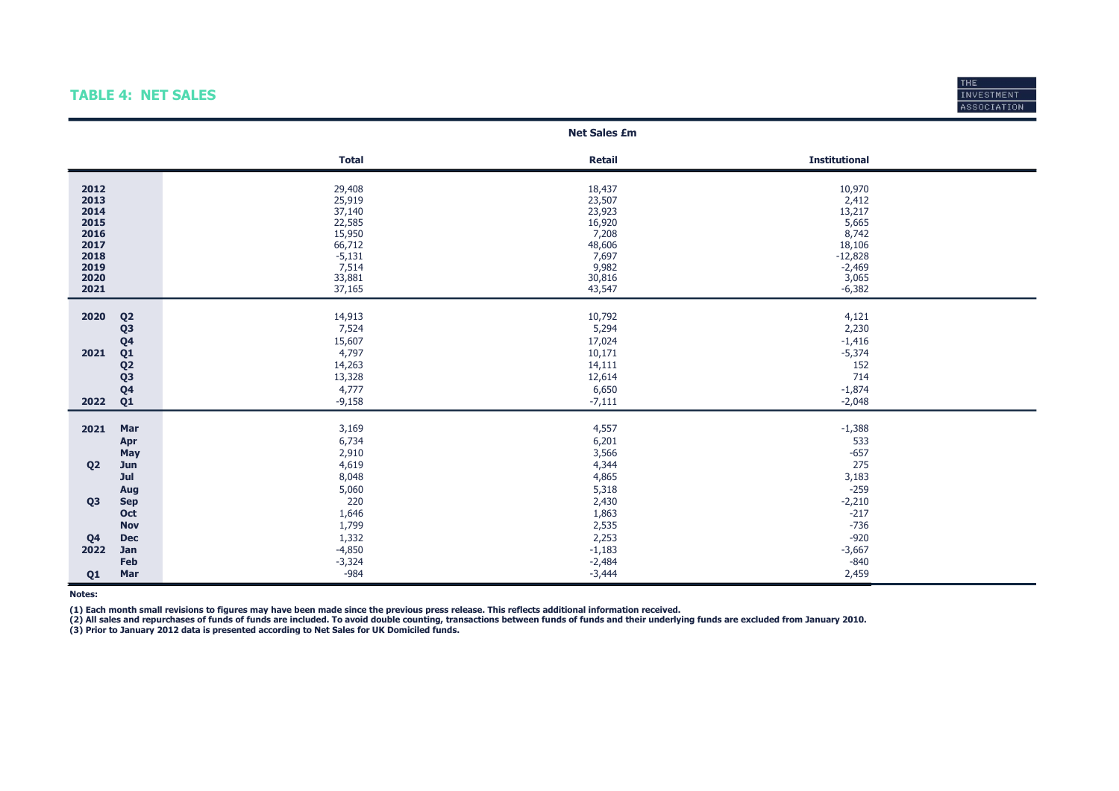### TABLE 4: NET SALES



|                                                                              |                                                                                                                      |                                                                                                   | <b>Net Sales £m</b>                                                                           |                                                                                                     |  |
|------------------------------------------------------------------------------|----------------------------------------------------------------------------------------------------------------------|---------------------------------------------------------------------------------------------------|-----------------------------------------------------------------------------------------------|-----------------------------------------------------------------------------------------------------|--|
|                                                                              |                                                                                                                      | <b>Total</b>                                                                                      | <b>Retail</b>                                                                                 | <b>Institutional</b>                                                                                |  |
| 2012<br>2013<br>2014<br>2015<br>2016<br>2017<br>2018<br>2019<br>2020<br>2021 |                                                                                                                      | 29,408<br>25,919<br>37,140<br>22,585<br>15,950<br>66,712<br>$-5,131$<br>7,514<br>33,881<br>37,165 | 18,437<br>23,507<br>23,923<br>16,920<br>7,208<br>48,606<br>7,697<br>9,982<br>30,816<br>43,547 | 10,970<br>2,412<br>13,217<br>5,665<br>8,742<br>18,106<br>$-12,828$<br>$-2,469$<br>3,065<br>$-6,382$ |  |
| 2020<br>2021<br>2022                                                         | Q <sub>2</sub><br>Q <sub>3</sub><br>Q4<br>Q <sub>1</sub><br>Q <sub>2</sub><br>Q <sub>3</sub><br>Q4<br>Q <sub>1</sub> | 14,913<br>7,524<br>15,607<br>4,797<br>14,263<br>13,328<br>4,777<br>$-9,158$                       | 10,792<br>5,294<br>17,024<br>10,171<br>14,111<br>12,614<br>6,650<br>$-7,111$                  | 4,121<br>2,230<br>$-1,416$<br>$-5,374$<br>152<br>714<br>$-1,874$<br>$-2,048$                        |  |
| 2021<br>Q <sub>2</sub>                                                       | Mar<br>Apr<br>May<br>Jun                                                                                             | 3,169<br>6,734<br>2,910<br>4,619                                                                  | 4,557<br>6,201<br>3,566<br>4,344                                                              | $-1,388$<br>533<br>$-657$<br>275                                                                    |  |
| Q <sub>3</sub>                                                               | Jul<br>Aug<br><b>Sep</b><br>Oct<br><b>Nov</b>                                                                        | 8,048<br>5,060<br>220<br>1,646<br>1,799                                                           | 4,865<br>5,318<br>2,430<br>1,863<br>2,535                                                     | 3,183<br>$-259$<br>$-2,210$<br>$-217$<br>$-736$                                                     |  |
| Q <sub>4</sub><br>2022                                                       | Dec<br>Jan<br>Feb                                                                                                    | 1,332<br>$-4,850$<br>$-3,324$<br>$-984$                                                           | 2,253<br>$-1,183$<br>$-2,484$                                                                 | $-920$<br>$-3,667$<br>$-840$                                                                        |  |
| Q <sub>1</sub>                                                               | Mar                                                                                                                  |                                                                                                   | $-3,444$                                                                                      | 2,459                                                                                               |  |

Notes:

(1) Each month small revisions to figures may have been made since the previous press release. This reflects additional information received.

(3) Prior to January 2012 data is presented according to Net Sales for UK Domiciled funds. (2) All sales and repurchases of funds of funds are included. To avoid double counting, transactions between funds of funds and their underlying funds are excluded from January 2010.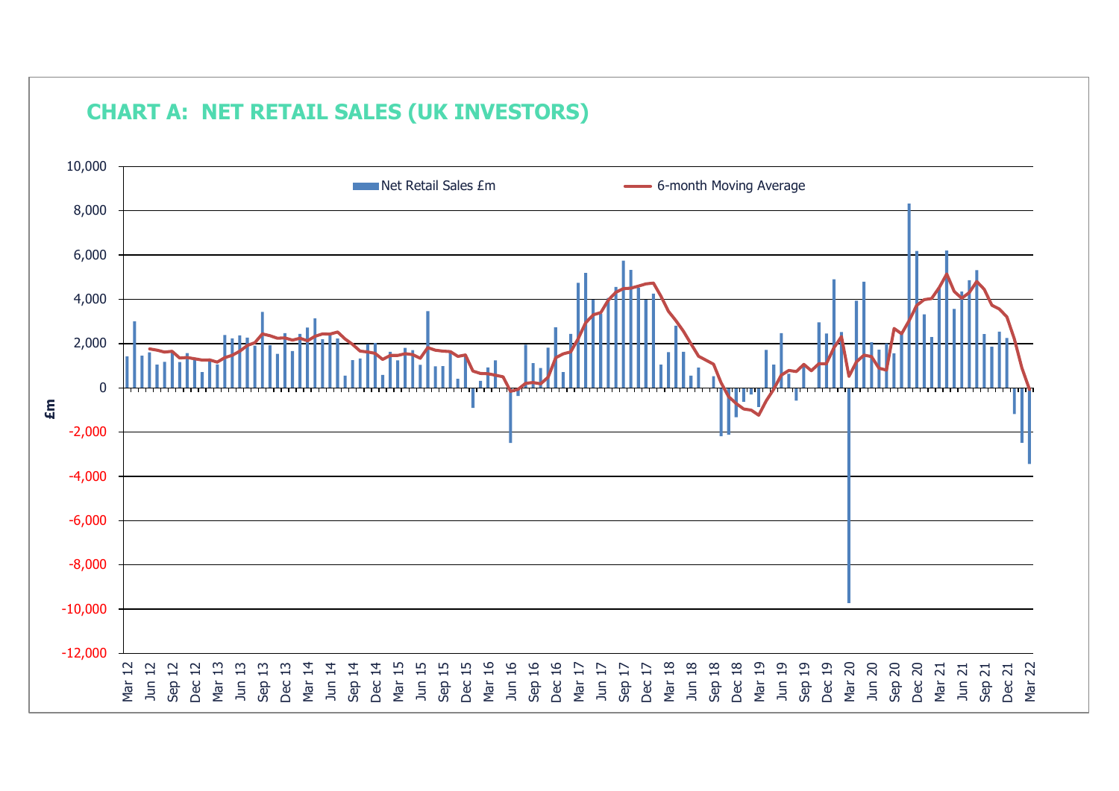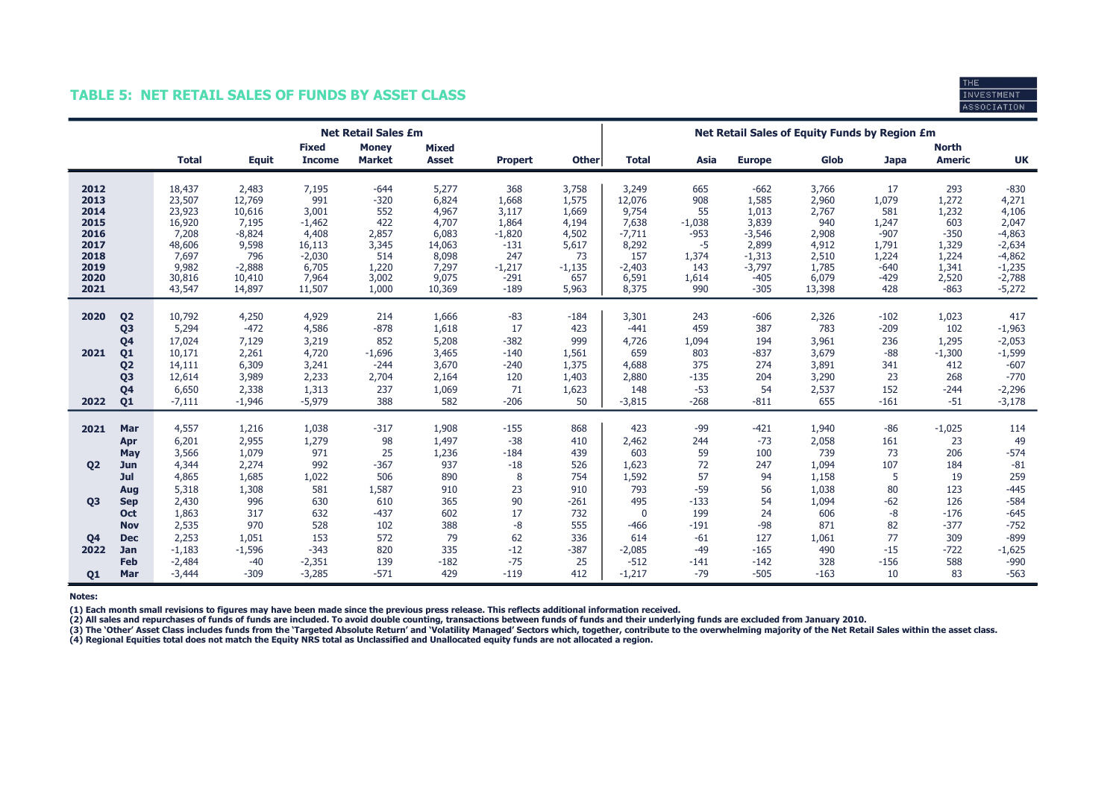### TABLE 5: NET RETAIL SALES OF FUNDS BY ASSET CLASS



|                                                                              |                                                                                                                                              |                                                                                               |                                                                                                |                                                                                              | <b>Net Retail Sales £m</b>                                                         |                                                                                          |                                                                                             |                                                                                      | Net Retail Sales of Equity Funds by Region £m                                               |                                                                              |                                                                                                    |                                                                                       |                                                                                    |                                                                                      |                                                                                                           |
|------------------------------------------------------------------------------|----------------------------------------------------------------------------------------------------------------------------------------------|-----------------------------------------------------------------------------------------------|------------------------------------------------------------------------------------------------|----------------------------------------------------------------------------------------------|------------------------------------------------------------------------------------|------------------------------------------------------------------------------------------|---------------------------------------------------------------------------------------------|--------------------------------------------------------------------------------------|---------------------------------------------------------------------------------------------|------------------------------------------------------------------------------|----------------------------------------------------------------------------------------------------|---------------------------------------------------------------------------------------|------------------------------------------------------------------------------------|--------------------------------------------------------------------------------------|-----------------------------------------------------------------------------------------------------------|
|                                                                              |                                                                                                                                              | <b>Total</b>                                                                                  | <b>Equit</b>                                                                                   | <b>Fixed</b><br><b>Income</b>                                                                | <b>Money</b><br><b>Market</b>                                                      | <b>Mixed</b><br><b>Asset</b>                                                             | <b>Propert</b>                                                                              | <b>Other</b>                                                                         | <b>Total</b>                                                                                | Asia                                                                         | <b>Europe</b>                                                                                      | Glob                                                                                  | <b>Japa</b>                                                                        | <b>North</b><br><b>Americ</b>                                                        | <b>UK</b>                                                                                                 |
| 2012<br>2013<br>2014<br>2015<br>2016<br>2017<br>2018<br>2019<br>2020<br>2021 |                                                                                                                                              | 18,437<br>23,507<br>23,923<br>16,920<br>7,208<br>48,606<br>7,697<br>9,982<br>30,816<br>43,547 | 2,483<br>12,769<br>10,616<br>7,195<br>$-8,824$<br>9,598<br>796<br>$-2,888$<br>10,410<br>14,897 | 7,195<br>991<br>3,001<br>$-1,462$<br>4,408<br>16,113<br>$-2,030$<br>6,705<br>7,964<br>11,507 | $-644$<br>$-320$<br>552<br>422<br>2,857<br>3,345<br>514<br>1,220<br>3,002<br>1,000 | 5,277<br>6,824<br>4,967<br>4,707<br>6,083<br>14,063<br>8,098<br>7,297<br>9,075<br>10,369 | 368<br>1,668<br>3,117<br>1,864<br>$-1,820$<br>$-131$<br>247<br>$-1,217$<br>$-291$<br>$-189$ | 3,758<br>1,575<br>1,669<br>4,194<br>4,502<br>5,617<br>73<br>$-1,135$<br>657<br>5,963 | 3,249<br>12,076<br>9,754<br>7,638<br>$-7,711$<br>8,292<br>157<br>$-2,403$<br>6,591<br>8,375 | 665<br>908<br>55<br>$-1,038$<br>$-953$<br>-5<br>1,374<br>143<br>1,614<br>990 | $-662$<br>1,585<br>1,013<br>3,839<br>$-3,546$<br>2,899<br>$-1,313$<br>$-3,797$<br>$-405$<br>$-305$ | 3,766<br>2,960<br>2,767<br>940<br>2,908<br>4,912<br>2,510<br>1,785<br>6,079<br>13,398 | 17<br>1,079<br>581<br>1,247<br>$-907$<br>1,791<br>1,224<br>$-640$<br>$-429$<br>428 | 293<br>1,272<br>1,232<br>603<br>$-350$<br>1,329<br>1,224<br>1,341<br>2,520<br>$-863$ | $-830$<br>4,271<br>4,106<br>2,047<br>$-4,863$<br>$-2,634$<br>$-4,862$<br>$-1,235$<br>$-2,788$<br>$-5,272$ |
| 2020<br>2021<br>2022                                                         | Q <sub>2</sub><br>Q <sub>3</sub><br>Q <sub>4</sub><br>Q <sub>1</sub><br>Q <sub>2</sub><br>Q <sub>3</sub><br>Q <sub>4</sub><br>Q <sub>1</sub> | 10,792<br>5,294<br>17,024<br>10,171<br>14,111<br>12,614<br>6,650<br>$-7,111$                  | 4,250<br>$-472$<br>7,129<br>2,261<br>6,309<br>3,989<br>2,338<br>$-1,946$                       | 4,929<br>4,586<br>3,219<br>4,720<br>3,241<br>2,233<br>1,313<br>$-5,979$                      | 214<br>$-878$<br>852<br>$-1,696$<br>$-244$<br>2,704<br>237<br>388                  | 1,666<br>1,618<br>5,208<br>3,465<br>3,670<br>2,164<br>1,069<br>582                       | $-83$<br>17<br>$-382$<br>$-140$<br>$-240$<br>120<br>71<br>$-206$                            | $-184$<br>423<br>999<br>1,561<br>1,375<br>1,403<br>1,623<br>50                       | 3,301<br>$-441$<br>4,726<br>659<br>4,688<br>2,880<br>148<br>$-3,815$                        | 243<br>459<br>1,094<br>803<br>375<br>$-135$<br>$-53$<br>$-268$               | $-606$<br>387<br>194<br>$-837$<br>274<br>204<br>54<br>$-811$                                       | 2,326<br>783<br>3,961<br>3,679<br>3,891<br>3,290<br>2,537<br>655                      | $-102$<br>$-209$<br>236<br>$-88$<br>341<br>23<br>152<br>$-161$                     | 1,023<br>102<br>1,295<br>$-1,300$<br>412<br>268<br>$-244$<br>$-51$                   | 417<br>$-1,963$<br>$-2,053$<br>$-1,599$<br>$-607$<br>$-770$<br>$-2,296$<br>$-3,178$                       |
| 2021<br><b>Q2</b>                                                            | Mar<br>Apr<br>May<br>Jun<br>Jul<br>Aug                                                                                                       | 4,557<br>6,201<br>3,566<br>4,344<br>4,865<br>5,318                                            | 1,216<br>2,955<br>1,079<br>2,274<br>1,685<br>1,308                                             | 1,038<br>1,279<br>971<br>992<br>1,022<br>581                                                 | $-317$<br>98<br>25<br>$-367$<br>506<br>1,587                                       | 1,908<br>1,497<br>1,236<br>937<br>890<br>910                                             | $-155$<br>$-38$<br>$-184$<br>$-18$<br>8<br>23                                               | 868<br>410<br>439<br>526<br>754<br>910                                               | 423<br>2,462<br>603<br>1,623<br>1,592<br>793                                                | $-99$<br>244<br>59<br>72<br>57<br>$-59$                                      | $-421$<br>$-73$<br>100<br>247<br>94<br>56                                                          | 1,940<br>2,058<br>739<br>1,094<br>1,158<br>1,038                                      | $-86$<br>161<br>73<br>107<br>5<br>80                                               | $-1,025$<br>23<br>206<br>184<br>19<br>123                                            | 114<br>49<br>$-574$<br>$-81$<br>259<br>$-445$                                                             |
| Q <sub>3</sub><br>Q <sub>4</sub><br>2022<br>Q1                               | <b>Sep</b><br><b>Oct</b><br><b>Nov</b><br><b>Dec</b><br>Jan<br><b>Feb</b><br>Mar                                                             | 2,430<br>1,863<br>2,535<br>2,253<br>$-1,183$<br>$-2,484$<br>$-3,444$                          | 996<br>317<br>970<br>1,051<br>$-1,596$<br>$-40$<br>$-309$                                      | 630<br>632<br>528<br>153<br>$-343$<br>$-2,351$<br>$-3,285$                                   | 610<br>$-437$<br>102<br>572<br>820<br>139<br>$-571$                                | 365<br>602<br>388<br>79<br>335<br>$-182$<br>429                                          | 90<br>17<br>$-8$<br>62<br>$-12$<br>$-75$<br>$-119$                                          | $-261$<br>732<br>555<br>336<br>$-387$<br>25<br>412                                   | 495<br>$\mathbf 0$<br>$-466$<br>614<br>$-2,085$<br>$-512$<br>$-1,217$                       | $-133$<br>199<br>$-191$<br>$-61$<br>$-49$<br>$-141$<br>$-79$                 | 54<br>24<br>$-98$<br>127<br>$-165$<br>$-142$<br>$-505$                                             | 1,094<br>606<br>871<br>1,061<br>490<br>328<br>$-163$                                  | $-62$<br>-8<br>82<br>77<br>$-15$<br>$-156$<br>10                                   | 126<br>$-176$<br>$-377$<br>309<br>$-722$<br>588<br>83                                | $-584$<br>$-645$<br>$-752$<br>$-899$<br>$-1,625$<br>$-990$<br>$-563$                                      |

Notes:

(1) Each month small revisions to figures may have been made since the previous press release. This reflects additional information received.

(2) All sales and repurchases of funds of funds are included. To avoid double counting, transactions between funds of funds and their underlying funds are excluded from January 2010.

(3) The 'Other' Asset Class includes funds from the 'Targeted Absolute Return' and 'Volatility Managed' Sectors which, together, contribute to the overwhelming majority of the Net Retail Sales within the asset class.<br>(4) R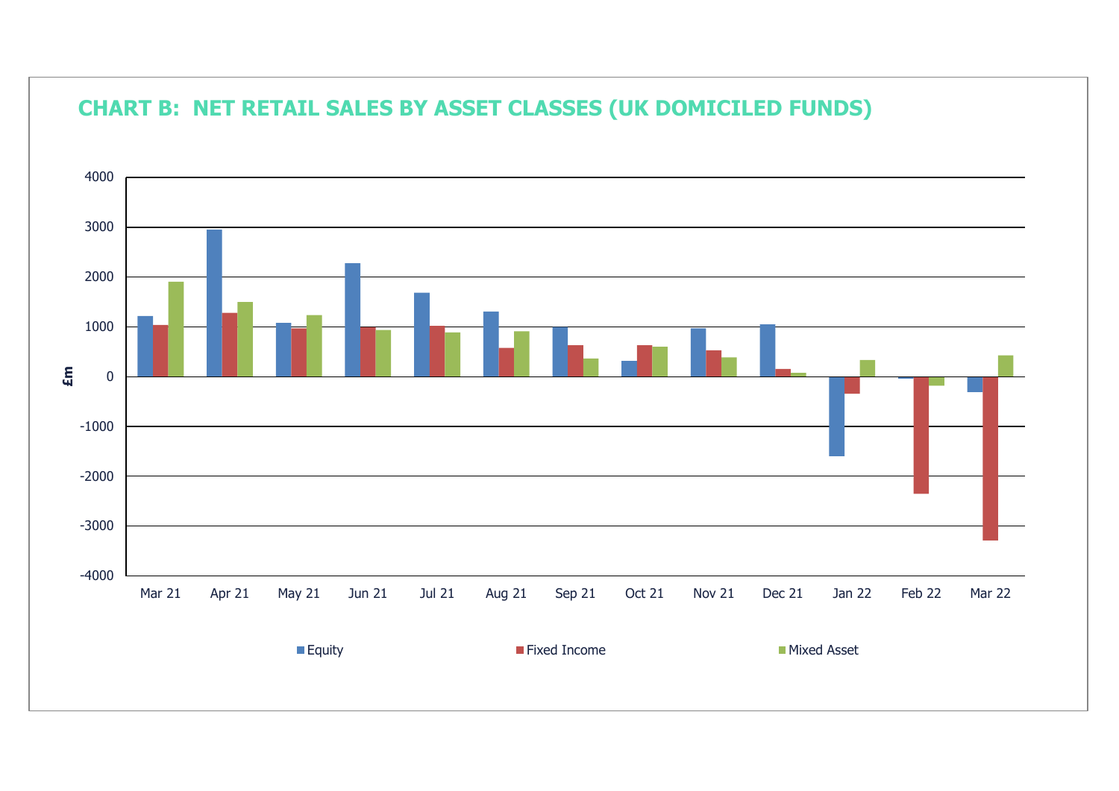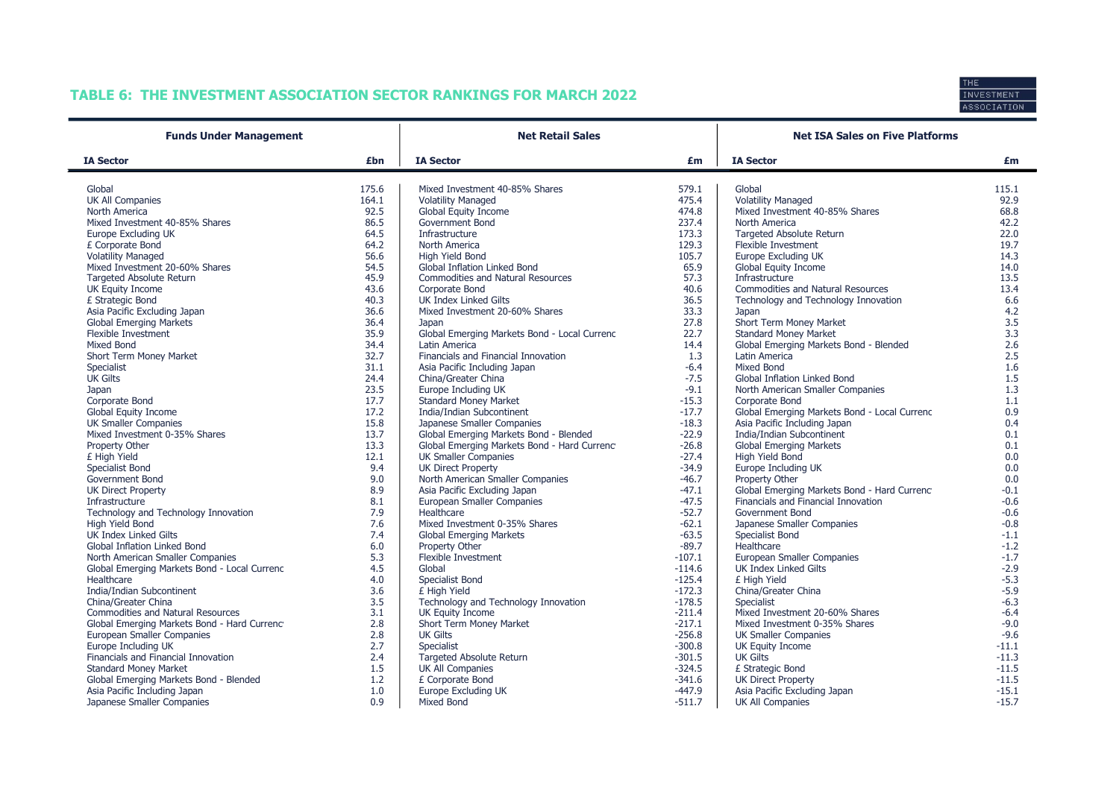# TABLE 6: THE INVESTMENT ASSOCIATION SECTOR RANKINGS FOR MARCH 2022



| <b>Funds Under Management</b>                |              | <b>Net Retail Sales</b>                                                    |          | <b>Net ISA Sales on Five Platforms</b>                                             |            |  |  |
|----------------------------------------------|--------------|----------------------------------------------------------------------------|----------|------------------------------------------------------------------------------------|------------|--|--|
| <b>IA Sector</b>                             | £bn          | <b>IA Sector</b>                                                           | £m       | <b>IA Sector</b>                                                                   | £m         |  |  |
| Global                                       | 175.6        | Mixed Investment 40-85% Shares                                             | 579.1    | Global                                                                             | 115.1      |  |  |
| UK All Companies                             | 164.1        | <b>Volatility Managed</b>                                                  | 475.4    | <b>Volatility Managed</b>                                                          | 92.9       |  |  |
| North America                                | 92.5         | Global Equity Income                                                       | 474.8    | Mixed Investment 40-85% Shares                                                     | 68.8       |  |  |
| Mixed Investment 40-85% Shares               | 86.5         | Government Bond                                                            | 237.4    | North America                                                                      | 42.2       |  |  |
| Europe Excluding UK                          | 64.5         | Infrastructure                                                             | 173.3    | <b>Targeted Absolute Return</b>                                                    | 22.0       |  |  |
| £ Corporate Bond                             | 64.2         | North America                                                              | 129.3    | Flexible Investment                                                                | 19.7       |  |  |
| <b>Volatility Managed</b>                    | 56.6         | High Yield Bond                                                            | 105.7    | Europe Excluding UK                                                                | 14.3       |  |  |
| Mixed Investment 20-60% Shares               | 54.5         | <b>Global Inflation Linked Bond</b>                                        | 65.9     | Global Equity Income                                                               | 14.0       |  |  |
| <b>Targeted Absolute Return</b>              | 45.9         | Commodities and Natural Resources                                          | 57.3     | Infrastructure                                                                     | 13.5       |  |  |
| <b>UK Equity Income</b>                      | 43.6         | Corporate Bond                                                             | 40.6     | <b>Commodities and Natural Resources</b>                                           | 13.4       |  |  |
| £ Strategic Bond                             | 40.3         | <b>UK Index Linked Gilts</b>                                               | 36.5     | Technology and Technology Innovation                                               | 6.6        |  |  |
| Asia Pacific Excluding Japan                 | 36.6         | Mixed Investment 20-60% Shares                                             | 33.3     | Japan                                                                              | 4.2        |  |  |
| <b>Global Emerging Markets</b>               | 36.4         | Japan                                                                      | 27.8     | Short Term Money Market                                                            | 3.5        |  |  |
| <b>Flexible Investment</b>                   | 35.9         | Global Emerging Markets Bond - Local Currenc                               | 22.7     | <b>Standard Money Market</b>                                                       | 3.3        |  |  |
| Mixed Bond                                   | 34.4         | Latin America                                                              | 14.4     | Global Emerging Markets Bond - Blended                                             | 2.6        |  |  |
| Short Term Money Market                      | 32.7         | Financials and Financial Innovation                                        | 1.3      | Latin America                                                                      | 2.5        |  |  |
| Specialist                                   | 31.1         | Asia Pacific Including Japan                                               | $-6.4$   | <b>Mixed Bond</b>                                                                  | 1.6        |  |  |
| <b>UK Gilts</b>                              | 24.4         | China/Greater China                                                        | $-7.5$   | <b>Global Inflation Linked Bond</b>                                                | 1.5        |  |  |
|                                              | 23.5         | Europe Including UK                                                        | $-9.1$   | North American Smaller Companies                                                   | 1.3        |  |  |
| Japan<br>Corporate Bond                      | 17.7         | <b>Standard Money Market</b>                                               | $-15.3$  | Corporate Bond                                                                     | 1.1        |  |  |
| <b>Global Equity Income</b>                  | 17.2         | India/Indian Subcontinent                                                  | $-17.7$  | Global Emerging Markets Bond - Local Currenc                                       | 0.9        |  |  |
| <b>UK Smaller Companies</b>                  | 15.8         | Japanese Smaller Companies                                                 | $-18.3$  | Asia Pacific Including Japan                                                       | 0.4        |  |  |
|                                              | 13.7         | Global Emerging Markets Bond - Blended                                     | $-22.9$  | India/Indian Subcontinent                                                          |            |  |  |
| Mixed Investment 0-35% Shares                |              |                                                                            | $-26.8$  |                                                                                    | 0.1<br>0.1 |  |  |
| Property Other                               | 13.3<br>12.1 | Global Emerging Markets Bond - Hard Currenc<br><b>UK Smaller Companies</b> | $-27.4$  | <b>Global Emerging Markets</b><br>High Yield Bond                                  |            |  |  |
| £ High Yield                                 | 9.4          | <b>UK Direct Property</b>                                                  | $-34.9$  | Europe Including UK                                                                | 0.0        |  |  |
| Specialist Bond                              |              |                                                                            |          |                                                                                    | 0.0        |  |  |
| Government Bond                              | 9.0<br>8.9   | North American Smaller Companies                                           | $-46.7$  | Property Other                                                                     | 0.0        |  |  |
| <b>UK Direct Property</b>                    |              | Asia Pacific Excluding Japan                                               | $-47.1$  | Global Emerging Markets Bond - Hard Currenc<br>Financials and Financial Innovation | $-0.1$     |  |  |
| Infrastructure                               | 8.1          | European Smaller Companies                                                 | $-47.5$  | Government Bond                                                                    | $-0.6$     |  |  |
| Technology and Technology Innovation         | 7.9          | Healthcare                                                                 | $-52.7$  |                                                                                    | $-0.6$     |  |  |
| High Yield Bond                              | 7.6          | Mixed Investment 0-35% Shares                                              | $-62.1$  | Japanese Smaller Companies                                                         | $-0.8$     |  |  |
| <b>UK Index Linked Gilts</b>                 | 7.4          | <b>Global Emerging Markets</b>                                             | $-63.5$  | Specialist Bond                                                                    | $-1.1$     |  |  |
| Global Inflation Linked Bond                 | 6.0          | Property Other                                                             | $-89.7$  | Healthcare                                                                         | $-1.2$     |  |  |
| North American Smaller Companies             | 5.3          | Flexible Investment                                                        | $-107.1$ | European Smaller Companies                                                         | $-1.7$     |  |  |
| Global Emerging Markets Bond - Local Currenc | 4.5          | Global                                                                     | $-114.6$ | UK Index Linked Gilts                                                              | $-2.9$     |  |  |
| Healthcare                                   | 4.0          | Specialist Bond                                                            | $-125.4$ | £ High Yield                                                                       | $-5.3$     |  |  |
| India/Indian Subcontinent                    | 3.6          | £ High Yield                                                               | $-172.3$ | China/Greater China                                                                | $-5.9$     |  |  |
| China/Greater China                          | 3.5          | Technology and Technology Innovation                                       | $-178.5$ | Specialist                                                                         | $-6.3$     |  |  |
| <b>Commodities and Natural Resources</b>     | 3.1          | UK Equity Income                                                           | $-211.4$ | Mixed Investment 20-60% Shares                                                     | $-6.4$     |  |  |
| Global Emerging Markets Bond - Hard Currenc  | 2.8          | Short Term Money Market                                                    | $-217.1$ | Mixed Investment 0-35% Shares                                                      | $-9.0$     |  |  |
| European Smaller Companies                   | 2.8          | <b>UK Gilts</b>                                                            | $-256.8$ | <b>UK Smaller Companies</b>                                                        | $-9.6$     |  |  |
| Europe Including UK                          | 2.7          | Specialist                                                                 | $-300.8$ | UK Equity Income                                                                   | $-11.1$    |  |  |
| Financials and Financial Innovation          | 2.4          | <b>Targeted Absolute Return</b>                                            | $-301.5$ | <b>UK Gilts</b>                                                                    | $-11.3$    |  |  |
| <b>Standard Money Market</b>                 | 1.5          | UK All Companies                                                           | $-324.5$ | £ Strategic Bond                                                                   | $-11.5$    |  |  |
| Global Emerging Markets Bond - Blended       | 1.2          | £ Corporate Bond                                                           | $-341.6$ | <b>UK Direct Property</b>                                                          | $-11.5$    |  |  |
| Asia Pacific Including Japan                 | 1.0          | <b>Europe Excluding UK</b>                                                 | $-447.9$ | Asia Pacific Excluding Japan                                                       | $-15.1$    |  |  |
| Japanese Smaller Companies                   | 0.9          | Mixed Bond                                                                 | $-511.7$ | UK All Companies                                                                   | $-15.7$    |  |  |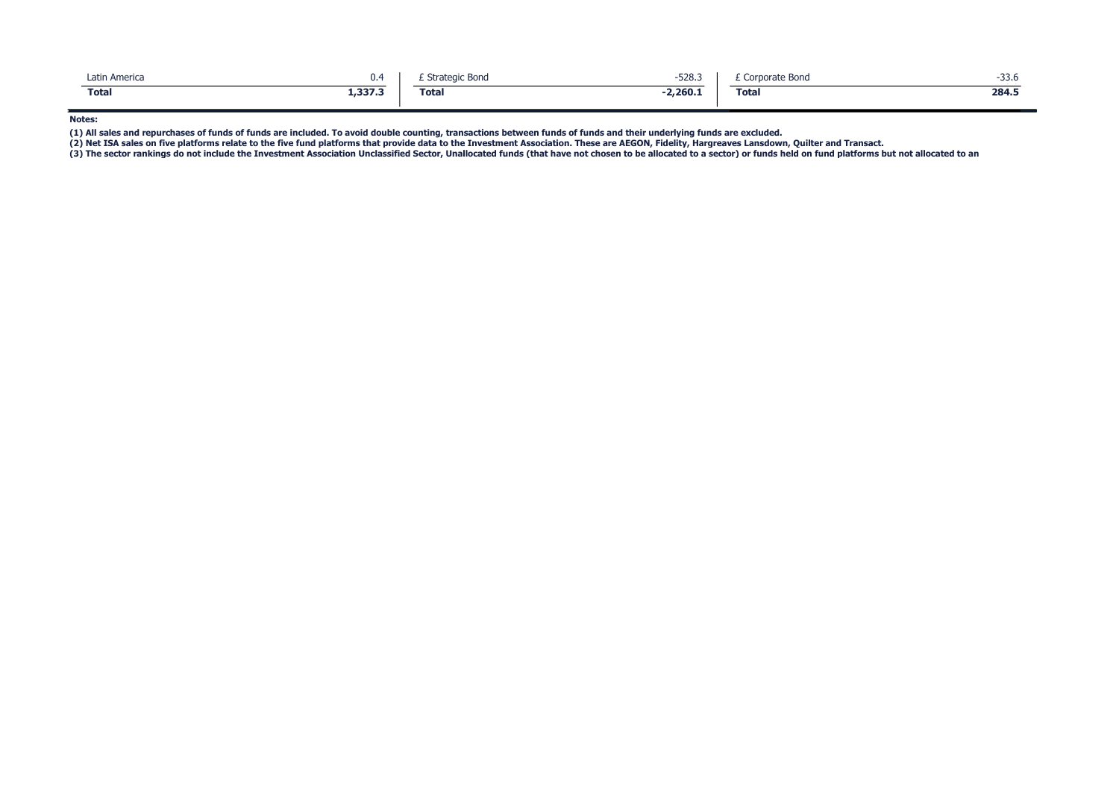| Latin America | υ.4     | <b>Strategic Bond</b> | $-528.3$   | Corporate Bond | -33.6 |
|---------------|---------|-----------------------|------------|----------------|-------|
| <b>Total</b>  | 1,337.3 | <b>Total</b>          | $-2,260.1$ | <b>Total</b>   | 284.5 |

Notes:

(1) All sales and repurchases of funds of funds are included. To avoid double counting, transactions between funds of funds and their underlying funds are excluded.<br>(2) Net ISA sales on five platforms relate to the five fu

(3) The sector rankings do not include the Investment Association Unclassified Sector, Unallocated funds (that have not chosen to be allocated to a sector) or funds held on fund platforms but not allocated to an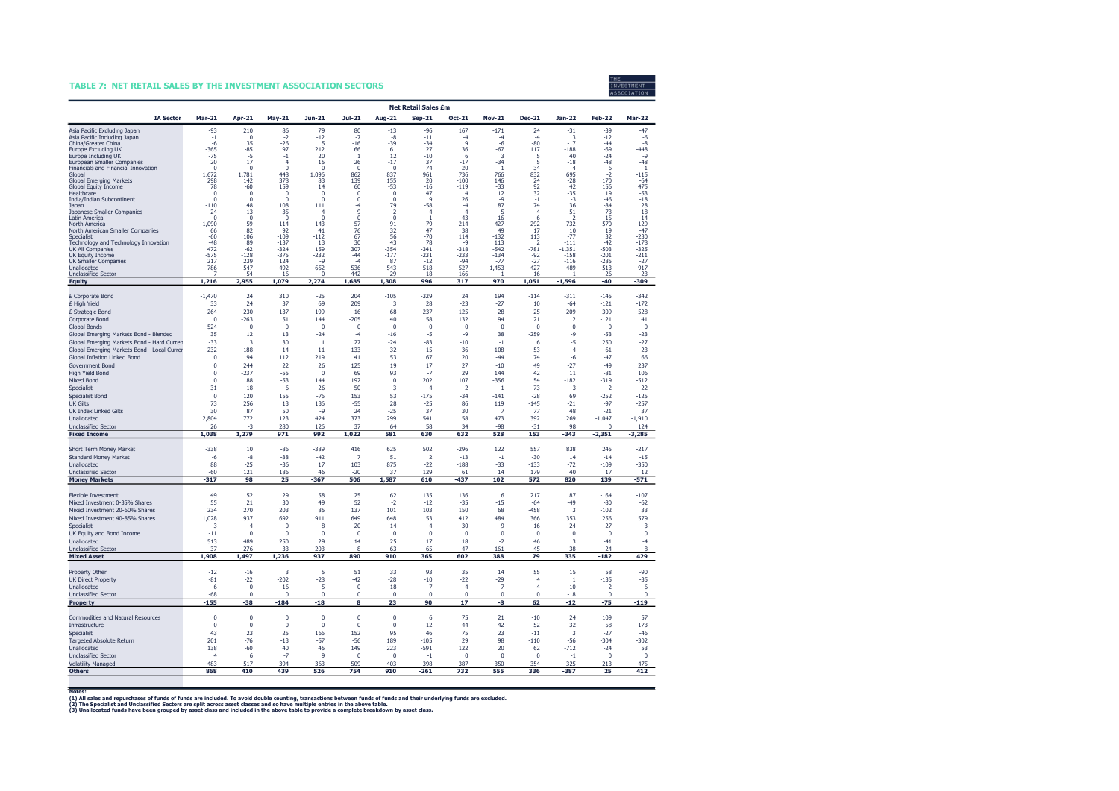#### TABLE 7: NET RETAIL SALES BY THE INVESTMENT ASSOCIATION SECTORS



|                                                                             |                             |                             |                                  |                             |                             |                         | <b>Net Retail Sales £m</b> |                   |                               |                  |                                    |                          |                       |
|-----------------------------------------------------------------------------|-----------------------------|-----------------------------|----------------------------------|-----------------------------|-----------------------------|-------------------------|----------------------------|-------------------|-------------------------------|------------------|------------------------------------|--------------------------|-----------------------|
| <b>IA Sector</b>                                                            | Mar-21                      | Apr-21                      | $May-21$                         | Jun-21                      | Jul-21                      | Aug-21                  | $Sep-21$                   | Oct-21            | <b>Nov-21</b>                 | <b>Dec-21</b>    | Jan-22                             | <b>Feb-22</b>            | <b>Mar-22</b>         |
| Asia Pacific Excluding Japan                                                | $-93$                       | 210                         | 86                               | 79                          | 80                          | $-13$                   | -96                        | 167               | $-171$                        | 24               | $-31$                              | $-39$                    | 47                    |
| Asia Pacific Including Japan                                                | $-1$                        | $\pmb{0}$                   | $-2$                             | $-12$<br>5                  | $-7$                        | $-8$                    | $-11$                      | $-4$<br>q         | $-4$                          | $-4$             | 3                                  | $-12$                    | -6                    |
| China/Greater China<br>Europe Excluding UK                                  | -6<br>$-365$                | 35<br>$-85$                 | -26<br>97                        | 212                         | $-16$<br>66                 | $-39$<br>61             | -34<br>27                  | 36                | $-6$<br>$-67$                 | $-80$<br>117     | $-17$<br>$-188$                    | $-44$<br>$-69$           | -8<br>$-448$          |
| Europe Including UK                                                         | $-75$                       | -5                          | $-1$                             | 20                          | -1                          | 12                      | $-10$                      | 6                 | 3                             | 5                | 40                                 | $-24$                    | $-\Omega$             |
| European Smaller Companies<br>Financials and Financial Innovation           | 20<br>$\mathbf{0}$          | 17<br>$\mathbf 0$           | $\overline{4}$<br>$\overline{0}$ | 15<br>$\overline{0}$        | 26<br>$\mathbf 0$           | $-17$<br>$\mathbf 0$    | 37<br>74                   | $-17$<br>$-20$    | $-34$<br>$-1$                 | 5<br>$-34$       | $-18$<br>$\overline{4}$            | $-48$<br>$-6$            | -48<br>-1             |
| Global                                                                      | 1.672                       | 1.781                       | 448                              | 1,096                       | 862                         | 837                     | $\frac{961}{20}$           | 736               | 766                           | 832              | 695                                | $-2$                     | $-115$                |
| <b>Global Emerging Markets</b><br>Global Equity Income                      | 298<br>78                   | 142<br>$-60$                | 378<br>159                       | 83<br>14                    | 139<br>60                   | 155<br>$-53$            | $-16$                      | $-100$<br>$-119$  | 146<br>-33                    | 24<br>92         | $-28$<br>42                        | 170<br>156               | -64<br>475            |
| Healthcare                                                                  | $\mathbf 0$                 | $\mathbf 0$                 | 0                                | $\mathbf 0$                 | $\pmb{0}$                   | $\mathbf 0$             | 47                         | $\overline{4}$    | 12                            | 32               | $-35$                              | 19                       | $-53$                 |
| <b>India/Indian Subcontinent</b><br>Japan                                   | $\Omega$<br>$-110$          | $\Omega$<br>148             | $\overline{0}$<br>108            | $\Omega$<br>111             | $\mathbf{0}$<br>-4          | $\Omega$<br>79          | $\circ$<br>$-58$           | 26<br>$-4$        | $-9$<br>87                    | $-1$<br>74       | $-3$<br>36                         | $-46$<br>$-84$           | $-18$<br>28           |
| Japanese Smaller Companies                                                  | 24                          | 13                          | $-35$                            | -4                          | $\circ$                     | $\overline{2}$          | $-4$                       | $-4$              | -5                            | $\overline{4}$   | $-51$                              | $-73$                    | $-18$                 |
| Latin America<br>North America                                              | $\Omega$<br>$-1,090$        | 0<br>$-59$                  | $\Omega$<br>114                  | $\Omega$<br>143             | $\Omega$<br>$-57$           | $\Omega$<br>91          | $\overline{1}$<br>79       | -43<br>$-214$     | $-16$<br>$-427$               | -6<br>292        | $\overline{\phantom{a}}$<br>$-732$ | $-15$<br>570             | 14<br>129             |
| North American Smaller Companies                                            | 66                          | 82                          | 92                               | 41                          | 76                          | 32                      | 47                         | 38                | 49                            | 17               | 10                                 | 19                       | $-47$                 |
| Specialist<br>Technology and Technology Innovation                          | -60<br>$-48$                | 106<br>89                   | $-109$<br>$-137$                 | $-112$<br>13                | 67<br>30                    | 56<br>43                | $-70$<br>78                | 114<br>$-a$       | $-132$<br>113                 | 113<br>2         | $-77$<br>$-111$                    | 32<br>$-42$              | $-230$<br>$-178$      |
| <b>UK All Companies</b>                                                     | 472                         | $-62$                       | $-324$                           | 159                         | 307                         | $-354$                  | $-341$                     | $-318$            | $-542$                        | $-781$           | $-1,351$                           | $-503$                   | $-325$                |
| <b>UK Equity Income</b><br><b>UK Smaller Companies</b>                      | $-575$<br>217               | $-128$<br>239               | $-375$<br>124                    | $-232$<br>-9                | $-44$<br>-4                 | $-177$<br>87            | $-231$<br>$-12$            | $-233$<br>$-94$   | $-134$<br>$-77$               | $-92$<br>-27     | $-158$<br>$-116$                   | $-201$<br>-285           | $-211$<br>-27         |
| Unallocated                                                                 | 786                         | 547                         | 492                              | 652                         | 536                         | 543                     | 518                        | 527               | 1,453                         | 427              | 489                                | 513                      | 917                   |
| <b>Unclassified Sector</b><br><b>Equity</b>                                 | 1,216                       | $-54$<br>2,955              | $-16$<br>1,079                   | $\Omega$<br>2,274           | -442<br>1,685               | $-29$<br>1,308          | $-18$<br>996               | $-166$<br>317     | 970                           | 16<br>1,051      | ×,<br>$-1,596$                     | $-26$<br>$-40$           | -23<br>-309           |
|                                                                             |                             |                             |                                  |                             |                             |                         |                            |                   |                               |                  |                                    |                          |                       |
| £ Corporate Bond                                                            | $-1,470$<br>33              | 24                          | 310<br>37                        | $-25$                       | 204<br>209                  | $-105$<br>3             | $-329$<br>28               | 24<br>$-23$       | 194<br>$-27$                  | $-114$           | $-311$<br>$-64$                    | $-145$<br>$-121$         | $-342$<br>$-172$      |
| £ High Yield<br>£ Strategic Bond                                            | 264                         | 24<br>230                   | $-137$                           | 69<br>$-199$                | 16                          | 68                      | 237                        | 125               | 28                            | 10<br>25         | $-209$                             | $-309$                   | $-528$                |
| Corporate Bond                                                              | $\Omega$                    | -263                        | 51                               | 144                         | $-205$                      | 40                      | 58                         | 132               | 94                            | 21               | $\overline{z}$                     | $-121$                   | 41                    |
| <b>Global Bonds</b>                                                         | $-524$                      | $\pmb{0}$                   | 0                                | $\Omega$                    | $\Omega$                    | $\Omega$                | $\Omega$                   | $\Omega$          | $\Omega$                      | $\Omega$         | $\Omega$                           | $\Omega$                 | $\mathbf 0$           |
| Global Emerging Markets Bond - Blended                                      | 35                          | 12                          | 13                               | $-24$                       | $-4$                        | $-16$                   | $-5$                       | $-9$              | 38                            | $-259$           | $-9$                               | $-53$                    | $-23$                 |
| Global Emerging Markets Bond - Hard Currer                                  | $-33$<br>$-232$             | 3<br>$-188$                 | 30<br>14                         | $\overline{1}$<br>11        | 27<br>$-133$                | $-24$<br>32             | $-83$<br>15                | $-10$<br>36       | $-1$<br>108                   | 6<br>53          | $-5$<br>$-4$                       | 250<br>61                | $-27$<br>23           |
| Global Emerging Markets Bond - Local Currer<br>Global Inflation Linked Bond | $\Omega$                    | 94                          | 112                              | 219                         | 41                          | 53                      | 67                         | 20                | $-44$                         | 74               | $-6$                               | $-47$                    | 66                    |
| <b>Government Bond</b>                                                      | $\mathbf 0$                 | 244                         | 22                               | 26                          | 125                         | 19                      | 17                         | 27                | $-10$                         | 49               | $-27$                              | $-49$                    | 237                   |
| <b>High Yield Bond</b>                                                      | $\Omega$                    | $-237$                      | $-55$                            | $\Omega$                    | 69                          | 93                      | $-7$                       | 29                | 144                           | 42               | 11                                 | $-81$                    | 106                   |
| Mixed Bond                                                                  | $\mathbf 0$                 | 88                          | $-53$                            | 144                         | 192                         | $\mathbf{0}$            | 202                        | 107               | $-356$                        | 54               | $-182$                             | $-319$                   | $-512$                |
| Specialist                                                                  | 31                          | 18                          | 6                                | 26                          | $-50$                       | $-3$                    | $-4$                       | $-2$              | $-1$                          | $-73$            | $-3$                               | $\overline{2}$           | $-22$                 |
| <b>Specialist Bond</b><br><b>UK Gilts</b>                                   | $\mathbf 0$<br>73           | 120<br>256                  | 155<br>13                        | $-76$<br>136                | 153<br>$-55$                | 53<br>28                | $-175$<br>$-25$            | $-34$<br>86       | $-141$<br>119                 | $-28$<br>$-145$  | 69<br>$-21$                        | $-252$<br>$-97$          | $-125$<br>$-257$      |
| <b>UK Index Linked Gilts</b>                                                | 30                          | 87                          | 50                               | $-9$                        | 24                          | $-25$                   | 37                         | 30                | $\overline{7}$                | 77               | 48                                 | $-21$                    | 37                    |
| Unallocated                                                                 | 2,804                       | 772                         | 123                              | 424                         | 373                         | 299                     | 541                        | 58                | 473                           | 392              | 269                                | $-1,047$                 | $-1,910$              |
| <b>Unclassified Sector</b>                                                  | 26                          | -3                          | 280                              | 126                         | 37                          | 64                      | 58                         | 34                | $-98$                         | $-31$            | 98                                 | $\Omega$                 | 124                   |
| <b>Fixed Income</b>                                                         | 1,038                       | 1,279                       | 971                              | 992                         | 1,022                       | 581                     | 630                        | 632               | 528                           | 153              | $-343$                             | $-2,351$                 | $-3,285$              |
| Short Term Money Market                                                     | $-338$                      | 10                          | $-86$                            | $-389$                      | 416                         | 625                     | 502                        | $-296$            | 122                           | 557              | 838                                | 245                      | $-217$                |
| <b>Standard Money Market</b>                                                | $-6$                        | $-8$                        | $-38$                            | $-42$                       | $\overline{7}$              | 51                      | $\overline{2}$             | $-13$             | $-1$                          | $-30$            | 14                                 | $-14$                    | $-15$                 |
| Unallocated<br><b>Unclassified Sector</b>                                   | 88<br>$-60$                 | $-25$<br>121                | $-36$<br>186                     | 17<br>46                    | 103<br>$-20$                | 875<br>37               | $-22$<br>129               | $-188$<br>61      | $-33$<br>14                   | $-133$<br>179    | $-72$<br>40                        | $-109$<br>17             | $-350$<br>12          |
| <b>Money Markets</b>                                                        | $-317$                      | 98                          | 25                               | $-367$                      | 506                         | 1,587                   | 610                        | $-437$            | 102                           | 572              | 820                                | 139                      | $-571$                |
| <b>Flexible Investment</b>                                                  | 49                          | 52                          | 29                               | 58                          | 25                          | 62                      | 135                        | 136               | 6                             | 217              | 87                                 | $-164$                   | $-107$                |
| Mixed Investment 0-35% Shares                                               | 55                          | 21                          | 30                               | 49                          | 52                          | $-2$                    | $-12$                      | $-35$             | $-15$                         | $-64$            | $-49$                              | $-80$                    | $-62$                 |
| Mixed Investment 20-60% Shares                                              | 234                         | 270                         | 203                              | 85                          | 137                         | 101                     | 103                        | 150               | 68                            | $-458$           | $\overline{\mathbf{3}}$            | $-102$                   | 33                    |
| Mixed Investment 40-85% Shares                                              | 1,028                       | 937                         | 692                              | 911                         | 649                         | 648                     | 53                         | 412               | 484                           | 366              | 353                                | 256                      | 579                   |
| Specialist<br>UK Equity and Bond Income                                     | 3<br>$-11$                  | $\overline{4}$<br>$\pmb{0}$ | $\overline{0}$<br>$\overline{0}$ | 8<br>$\Omega$               | 20<br>$\Omega$              | 14<br>$\Omega$          | 4<br>$\Omega$              | $-30$<br>$\Omega$ | $\overline{9}$<br>$\mathbf 0$ | 16<br>$\Omega$   | $-24$<br>$\Omega$                  | $-27$<br>$\Omega$        | $-3$<br>$\pmb{0}$     |
| Unallocated                                                                 | 513                         | 489                         | 250                              | 29                          | 14                          | 25                      | 17                         | 18                | $-2$                          | 46               | -3                                 | $-41$                    | $-4$                  |
| <b>Unclassified Sector</b>                                                  | 37                          | $-276$                      | 33                               | $-203$                      | -8                          | 63                      | 65                         | $-47$             | $-161$                        | $-45$            | $-38$                              | $-24$                    | -8                    |
| <b>Mixed Asset</b>                                                          | 1,908                       | 1,497                       | 1,236                            | 937                         | 890                         | 910                     | 365                        | 602               | 388                           | 79               | 335                                | $-182$                   | 429                   |
| Property Other                                                              | $-12$                       | $-16$                       | -3                               | 5                           | 51                          | 33                      | 93                         | 35                | 14                            | 55               | 15                                 | 58                       | $-90$                 |
| <b>UK Direct Property</b>                                                   | $-81$                       | $-22$                       | $-202$                           | $-28$                       | $-42$                       | $-28$                   | $-10$                      | $-22$             | $-29$                         | $\overline{4}$   | $\overline{1}$                     | $-135$                   | $-35$                 |
| Unallocated                                                                 | 6                           | $\mathbf 0$                 | 16                               | 5                           | $\Omega$                    | 18                      | $\overline{7}$             | $\overline{4}$    | $\overline{7}$                | 4                | $-10$                              | $\overline{\phantom{a}}$ | 6                     |
| <b>Unclassified Sector</b><br><b>Property</b>                               | $-68$<br>$-155$             | $\mathbf 0$<br>-38          | $\overline{0}$<br>$-184$         | $\mathbf{0}$<br>$-18$       | $\mathbf{0}$<br>8           | $\mathbf{0}$<br>23      | $\mathbf 0$<br>90          | $\mathbf 0$<br>17 | $\Omega$<br>-8                | $\Omega$<br>62   | $-18$<br>$-12$                     | $\mathbf 0$<br>$-75$     | $\mathbf 0$<br>$-119$ |
|                                                                             |                             |                             |                                  |                             |                             |                         |                            |                   |                               |                  |                                    |                          |                       |
| Commodities and Natural Resources<br>Infrastructure                         | $\mathbf 0$<br>$\mathbf{0}$ | $\mathbf 0$<br>$\pmb{0}$    | $\overline{0}$<br>$\mathbf{0}$   | $\mathbf{0}$<br>$\mathbf 0$ | $\mathbf 0$<br>$\mathbf{0}$ | $\mathbf 0$<br>$\Omega$ | 6<br>$-12$                 | 75<br>44          | 21<br>42                      | $-10$<br>52      | 24<br>32                           | 109<br>58                | 57<br>173             |
| Specialist                                                                  | 43                          | 23                          | 25                               | 166                         | 152                         | 95                      | 46                         | 75                | 23                            | $-11$            | $\overline{\mathbf{3}}$            | $-27$                    | $-46$                 |
| <b>Targeted Absolute Return</b>                                             | 201                         | $-76$                       | $-13$                            | $-57$                       | $-56$                       | 189                     | $-105$                     | 29                | 98                            | $-110$           | $-56$                              | $-304$                   | $-302$                |
| Unallocated                                                                 | 138                         | $-60$                       | 40                               | 45                          | 149                         | 223                     | $-591$                     | 122               | 20                            | 62               | $-712$                             | $-24$                    | 53                    |
| <b>Unclassified Sector</b><br><b>Volatility Managed</b>                     | $\overline{4}$<br>483       | 6<br>517                    | $-7$<br>394                      | $\mathbf{q}$<br>363         | $\pmb{0}$<br>509            | $\mathbf 0$<br>403      | $^{\rm -1}$<br>398         | $\Omega$<br>387   | $\mathbf 0$<br>350            | $\pmb{0}$<br>354 | $-1$<br>325                        | $\mathbf 0$<br>213       | $\pmb{0}$<br>475      |
| <b>Others</b>                                                               | 868                         | 410                         | 439                              | 526                         | 754                         | 910                     | $-261$                     | 732               | 555                           | 336              | $-387$                             | 25                       | 412                   |

Notes:<br>(1) All sales and repurchases of funds of funds are included. To avoid double counting, transactions between funds of funds and their underlying funds are excluded.

(2) The Specialist and Unclassified Sectors are split across asset classes and so have multiple entries in the above table.<br>(3) Unallocated funds have been grouped by asset class and included in the above table to provide

7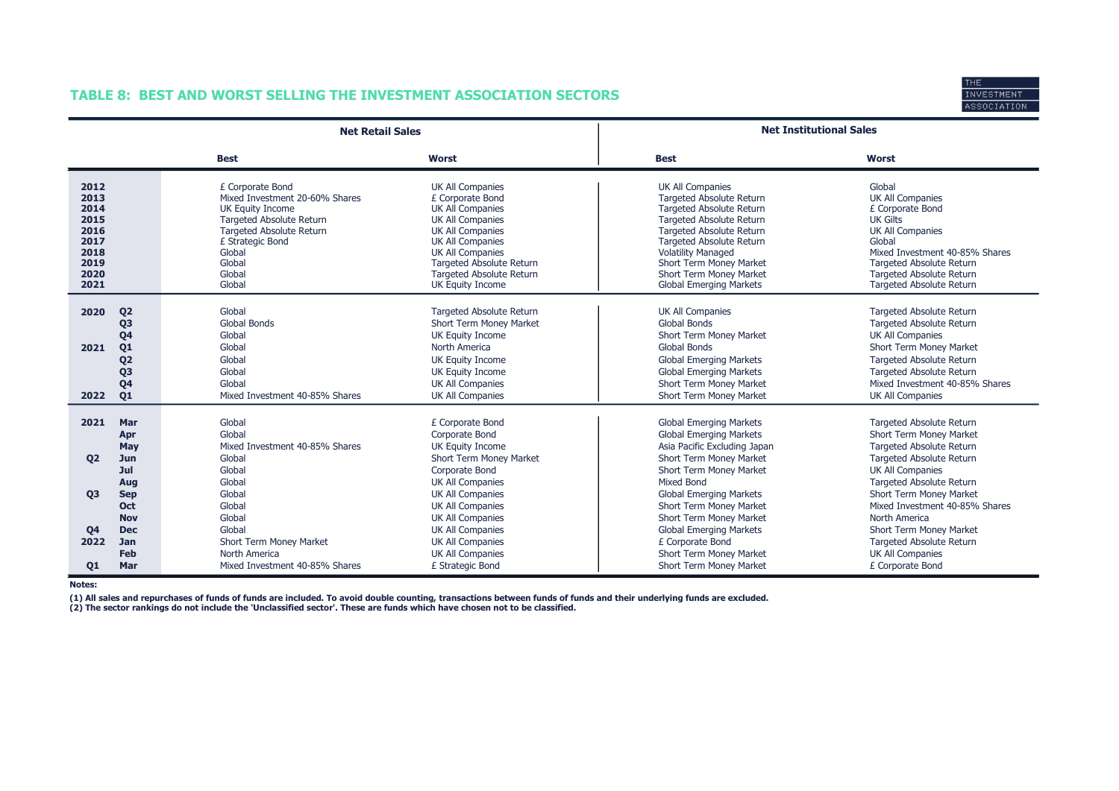## TABLE 8: BEST AND WORST SELLING THE INVESTMENT ASSOCIATION SECTORS



|                                                                              |                                                                                                                                  | <b>Net Retail Sales</b>                                                                                                                                                                                         |                                                                                                                                                                                                                                                                | <b>Net Institutional Sales</b>                                                                                                                                                                                                                                                                                              |                                                                                                                                                                                                                                                      |
|------------------------------------------------------------------------------|----------------------------------------------------------------------------------------------------------------------------------|-----------------------------------------------------------------------------------------------------------------------------------------------------------------------------------------------------------------|----------------------------------------------------------------------------------------------------------------------------------------------------------------------------------------------------------------------------------------------------------------|-----------------------------------------------------------------------------------------------------------------------------------------------------------------------------------------------------------------------------------------------------------------------------------------------------------------------------|------------------------------------------------------------------------------------------------------------------------------------------------------------------------------------------------------------------------------------------------------|
|                                                                              |                                                                                                                                  | <b>Best</b>                                                                                                                                                                                                     | <b>Worst</b>                                                                                                                                                                                                                                                   | <b>Best</b>                                                                                                                                                                                                                                                                                                                 | Worst                                                                                                                                                                                                                                                |
| 2012<br>2013<br>2014<br>2015<br>2016<br>2017<br>2018<br>2019<br>2020<br>2021 |                                                                                                                                  | £ Corporate Bond<br>Mixed Investment 20-60% Shares<br><b>UK Equity Income</b><br><b>Targeted Absolute Return</b><br><b>Targeted Absolute Return</b><br>£ Strategic Bond<br>Global<br>Global<br>Global<br>Global | UK All Companies<br>£ Corporate Bond<br><b>UK All Companies</b><br><b>UK All Companies</b><br><b>UK All Companies</b><br><b>UK All Companies</b><br><b>UK All Companies</b><br>Targeted Absolute Return<br><b>Targeted Absolute Return</b><br>UK Equity Income | <b>UK All Companies</b><br><b>Targeted Absolute Return</b><br><b>Targeted Absolute Return</b><br><b>Targeted Absolute Return</b><br><b>Targeted Absolute Return</b><br><b>Targeted Absolute Return</b><br><b>Volatility Managed</b><br>Short Term Money Market<br>Short Term Money Market<br><b>Global Emerging Markets</b> | Global<br><b>UK All Companies</b><br>£ Corporate Bond<br><b>UK Gilts</b><br><b>UK All Companies</b><br>Global<br>Mixed Investment 40-85% Shares<br>Targeted Absolute Return<br><b>Targeted Absolute Return</b><br>Targeted Absolute Return           |
| 2020<br>2021<br>2022                                                         | Q <sub>2</sub><br>Q <sub>3</sub><br>Q <sub>4</sub><br>Q <sub>1</sub><br>Q <sub>2</sub><br>Q <sub>3</sub><br>Q <sub>4</sub><br>Q1 | Global<br><b>Global Bonds</b><br>Global<br>Global<br>Global<br>Global<br>Global<br>Mixed Investment 40-85% Shares                                                                                               | <b>Targeted Absolute Return</b><br>Short Term Money Market<br>UK Equity Income<br>North America<br>UK Equity Income<br>UK Equity Income<br><b>UK All Companies</b><br><b>UK All Companies</b>                                                                  | <b>UK All Companies</b><br>Global Bonds<br>Short Term Money Market<br><b>Global Bonds</b><br><b>Global Emerging Markets</b><br><b>Global Emerging Markets</b><br>Short Term Money Market<br>Short Term Money Market                                                                                                         | <b>Targeted Absolute Return</b><br><b>Targeted Absolute Return</b><br><b>UK All Companies</b><br>Short Term Money Market<br>Targeted Absolute Return<br><b>Targeted Absolute Return</b><br>Mixed Investment 40-85% Shares<br><b>UK All Companies</b> |
| 2021<br>02                                                                   | Mar<br>Apr<br>May<br>Jun<br>Jul                                                                                                  | Global<br>Global<br>Mixed Investment 40-85% Shares<br>Global<br>Global                                                                                                                                          | £ Corporate Bond<br>Corporate Bond<br>UK Equity Income<br>Short Term Money Market<br>Corporate Bond                                                                                                                                                            | <b>Global Emerging Markets</b><br><b>Global Emerging Markets</b><br>Asia Pacific Excluding Japan<br>Short Term Money Market<br>Short Term Money Market                                                                                                                                                                      | Targeted Absolute Return<br>Short Term Money Market<br><b>Targeted Absolute Return</b><br><b>Targeted Absolute Return</b><br><b>UK All Companies</b>                                                                                                 |
| <b>Q3</b><br><b>Q4</b><br>2022                                               | Aug<br><b>Sep</b><br>Oct<br><b>Nov</b><br><b>Dec</b><br><b>Jan</b>                                                               | Global<br>Global<br>Global<br>Global<br>Global<br>Short Term Money Market                                                                                                                                       | <b>UK All Companies</b><br><b>UK All Companies</b><br><b>UK All Companies</b><br><b>UK All Companies</b><br><b>UK All Companies</b><br><b>UK All Companies</b>                                                                                                 | <b>Mixed Bond</b><br><b>Global Emerging Markets</b><br>Short Term Money Market<br>Short Term Money Market<br><b>Global Emerging Markets</b><br>£ Corporate Bond                                                                                                                                                             | Targeted Absolute Return<br>Short Term Money Market<br>Mixed Investment 40-85% Shares<br>North America<br>Short Term Money Market<br><b>Targeted Absolute Return</b>                                                                                 |
| 01                                                                           | <b>Feb</b><br>Mar                                                                                                                | North America<br>Mixed Investment 40-85% Shares                                                                                                                                                                 | <b>UK All Companies</b><br>£ Strategic Bond                                                                                                                                                                                                                    | Short Term Money Market<br>Short Term Money Market                                                                                                                                                                                                                                                                          | <b>UK All Companies</b><br>£ Corporate Bond                                                                                                                                                                                                          |

Notes:

(1) All sales and repurchases of funds of funds are included. To avoid double counting, transactions between funds of funds and their underlying funds are excluded.<br>(2) The sector rankings do not include the 'Unclassified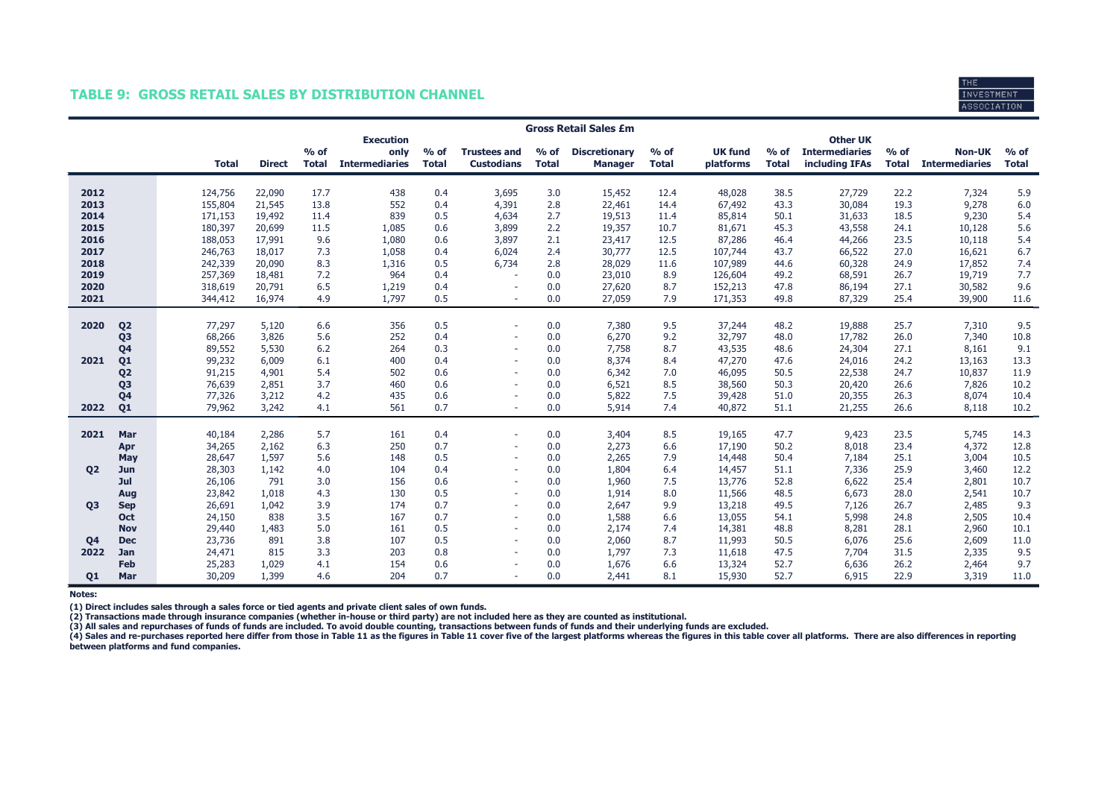#### TABLE 9: GROSS RETAIL SALES BY DISTRIBUTION CHANNEL



|           |                | <b>Gross Retail Sales £m</b> |              |               |              |                          |              |                          |              |                      |              |                |              |                                          |              |                       |              |
|-----------|----------------|------------------------------|--------------|---------------|--------------|--------------------------|--------------|--------------------------|--------------|----------------------|--------------|----------------|--------------|------------------------------------------|--------------|-----------------------|--------------|
|           |                |                              |              |               | $%$ of       | <b>Execution</b><br>only | $%$ of       | <b>Trustees and</b>      | $%$ of       | <b>Discretionary</b> | $%$ of       | <b>UK fund</b> | $%$ of       | <b>Other UK</b><br><b>Intermediaries</b> | $%$ of       | <b>Non-UK</b>         | $%$ of       |
|           |                |                              | <b>Total</b> | <b>Direct</b> | <b>Total</b> | <b>Intermediaries</b>    | <b>Total</b> | <b>Custodians</b>        | <b>Total</b> | <b>Manager</b>       | <b>Total</b> | platforms      | <b>Total</b> | including IFAs                           | <b>Total</b> | <b>Intermediaries</b> | <b>Total</b> |
| 2012      |                |                              | 124,756      | 22,090        | 17.7         | 438                      | 0.4          | 3,695                    | 3.0          | 15,452               | 12.4         | 48,028         | 38.5         | 27,729                                   | 22.2         | 7,324                 | 5.9          |
| 2013      |                |                              | 155,804      | 21,545        | 13.8         | 552                      | 0.4          | 4,391                    | 2.8          | 22,461               | 14.4         | 67,492         | 43.3         | 30,084                                   | 19.3         | 9,278                 | 6.0          |
| 2014      |                |                              | 171,153      | 19,492        | 11.4         | 839                      | 0.5          | 4,634                    | 2.7          | 19,513               | 11.4         | 85,814         | 50.1         | 31,633                                   | 18.5         | 9,230                 | 5.4          |
| 2015      |                |                              | 180,397      | 20,699        | 11.5         | 1,085                    | 0.6          | 3,899                    | 2.2          | 19,357               | 10.7         | 81,671         | 45.3         | 43,558                                   | 24.1         | 10,128                | 5.6          |
| 2016      |                |                              | 188,053      | 17,991        | 9.6          | 1,080                    | 0.6          | 3,897                    | 2.1          | 23,417               | 12.5         | 87,286         | 46.4         | 44,266                                   | 23.5         | 10,118                | 5.4          |
| 2017      |                |                              | 246,763      | 18,017        | 7.3          | 1,058                    | 0.4          | 6,024                    | 2.4          | 30,777               | 12.5         | 107,744        | 43.7         | 66,522                                   | 27.0         | 16,621                | 6.7          |
| 2018      |                |                              | 242,339      | 20,090        | 8.3          | 1,316                    | 0.5          | 6,734                    | 2.8          | 28,029               | 11.6         | 107,989        | 44.6         | 60,328                                   | 24.9         | 17,852                | 7.4          |
| 2019      |                |                              | 257,369      | 18,481        | 7.2          | 964                      | 0.4          |                          | 0.0          | 23,010               | 8.9          | 126,604        | 49.2         | 68,591                                   | 26.7         | 19,719                | 7.7          |
| 2020      |                |                              | 318,619      | 20,791        | 6.5          | 1,219                    | 0.4          |                          | 0.0          | 27,620               | 8.7          | 152,213        | 47.8         | 86,194                                   | 27.1         | 30,582                | 9.6          |
| 2021      |                |                              | 344,412      | 16,974        | 4.9          | 1,797                    | 0.5          | ÷.                       | 0.0          | 27,059               | 7.9          | 171,353        | 49.8         | 87,329                                   | 25.4         | 39,900                | 11.6         |
| 2020      | Q <sub>2</sub> |                              | 77,297       | 5,120         | 6.6          | 356                      | 0.5          | $\sim$                   | 0.0          | 7,380                | 9.5          | 37,244         | 48.2         | 19,888                                   | 25.7         | 7,310                 | 9.5          |
|           | Q <sub>3</sub> |                              | 68,266       | 3,826         | 5.6          | 252                      | 0.4          |                          | 0.0          | 6,270                | 9.2          | 32,797         | 48.0         | 17,782                                   | 26.0         | 7,340                 | 10.8         |
|           | Q <sub>4</sub> |                              | 89,552       | 5,530         | 6.2          | 264                      | 0.3          |                          | 0.0          | 7,758                | 8.7          | 43,535         | 48.6         | 24,304                                   | 27.1         | 8,161                 | 9.1          |
| 2021      | Q <sub>1</sub> |                              | 99,232       | 6,009         | 6.1          | 400                      | 0.4          | $\overline{\phantom{a}}$ | 0.0          | 8,374                | 8.4          | 47,270         | 47.6         | 24,016                                   | 24.2         | 13,163                | 13.3         |
|           | Q <sub>2</sub> |                              | 91,215       | 4,901         | 5.4          | 502                      | 0.6          | $\sim$                   | 0.0          | 6,342                | 7.0          | 46,095         | 50.5         | 22,538                                   | 24.7         | 10,837                | 11.9         |
|           | Q <sub>3</sub> |                              | 76,639       | 2,851         | 3.7          | 460                      | 0.6          | $\sim$                   | 0.0          | 6,521                | 8.5          | 38,560         | 50.3         | 20,420                                   | 26.6         | 7,826                 | 10.2         |
|           | Q <sub>4</sub> |                              | 77,326       | 3,212         | 4.2          | 435                      | 0.6          |                          | 0.0          | 5,822                | 7.5          | 39,428         | 51.0         | 20,355                                   | 26.3         | 8,074                 | 10.4         |
| 2022      | Q <sub>1</sub> |                              | 79,962       | 3,242         | 4.1          | 561                      | 0.7          |                          | 0.0          | 5,914                | 7.4          | 40,872         | 51.1         | 21,255                                   | 26.6         | 8,118                 | 10.2         |
| 2021      | Mar            |                              | 40,184       | 2,286         | 5.7          | 161                      | 0.4          | $\overline{\phantom{a}}$ | 0.0          | 3,404                | 8.5          | 19,165         | 47.7         | 9,423                                    | 23.5         | 5,745                 | 14.3         |
|           | Apr            |                              | 34,265       | 2,162         | 6.3          | 250                      | 0.7          | $\overline{\phantom{a}}$ | 0.0          | 2,273                | 6.6          | 17,190         | 50.2         | 8,018                                    | 23.4         | 4,372                 | 12.8         |
|           | May            |                              | 28,647       | 1,597         | 5.6          | 148                      | 0.5          | $\overline{\phantom{a}}$ | 0.0          | 2,265                | 7.9          | 14,448         | 50.4         | 7,184                                    | 25.1         | 3,004                 | 10.5         |
| <b>Q2</b> | Jun            |                              | 28,303       | 1,142         | 4.0          | 104                      | 0.4          |                          | 0.0          | 1,804                | 6.4          | 14,457         | 51.1         | 7,336                                    | 25.9         | 3,460                 | 12.2         |
|           | Jul            |                              | 26,106       | 791           | 3.0          | 156                      | 0.6          |                          | 0.0          | 1,960                | 7.5          | 13,776         | 52.8         | 6,622                                    | 25.4         | 2,801                 | 10.7         |
|           | Aug            |                              | 23,842       | 1,018         | 4.3          | 130                      | 0.5          |                          | 0.0          | 1,914                | 8.0          | 11,566         | 48.5         | 6,673                                    | 28.0         | 2,541                 | 10.7         |
| <b>Q3</b> | <b>Sep</b>     |                              | 26,691       | 1,042         | 3.9          | 174                      | 0.7          | $\overline{\phantom{a}}$ | 0.0          | 2,647                | 9.9          | 13,218         | 49.5         | 7,126                                    | 26.7         | 2,485                 | 9.3          |
|           | <b>Oct</b>     |                              | 24,150       | 838           | 3.5          | 167                      | 0.7          | $\overline{\phantom{a}}$ | 0.0          | 1,588                | 6.6          | 13,055         | 54.1         | 5,998                                    | 24.8         | 2,505                 | 10.4         |
|           | <b>Nov</b>     |                              | 29,440       | 1,483         | 5.0          | 161                      | 0.5          |                          | 0.0          | 2,174                | 7.4          | 14,381         | 48.8         | 8,281                                    | 28.1         | 2,960                 | 10.1         |
| Q4        | <b>Dec</b>     |                              | 23,736       | 891           | 3.8          | 107                      | 0.5          | $\sim$                   | 0.0          | 2,060                | 8.7          | 11,993         | 50.5         | 6,076                                    | 25.6         | 2,609                 | 11.0         |
| 2022      | <b>Jan</b>     |                              | 24,471       | 815           | 3.3          | 203                      | 0.8          | $\overline{\phantom{a}}$ | 0.0          | 1,797                | 7.3          | 11,618         | 47.5         | 7,704                                    | 31.5         | 2,335                 | 9.5          |
|           | Feb            |                              | 25,283       | 1,029         | 4.1          | 154                      | 0.6          |                          | 0.0          | 1,676                | 6.6          | 13,324         | 52.7         | 6,636                                    | 26.2         | 2,464                 | 9.7          |
| <b>Q1</b> | Mar            |                              | 30,209       | 1,399         | 4.6          | 204                      | 0.7          |                          | 0.0          | 2,441                | 8.1          | 15,930         | 52.7         | 6,915                                    | 22.9         | 3,319                 | 11.0         |

Notes:

(1) Direct includes sales through a sales force or tied agents and private client sales of own funds.<br>(2) Transactions made through insurance companies (whether in-house or third party) are not included here as they are co

(3) All sales and repurchases of funds of funds are included. To avoid double counting, transactions between funds of funds and their underlying funds are excluded.<br>(4) Sales and re-purchases reported here differ from thos between platforms and fund companies.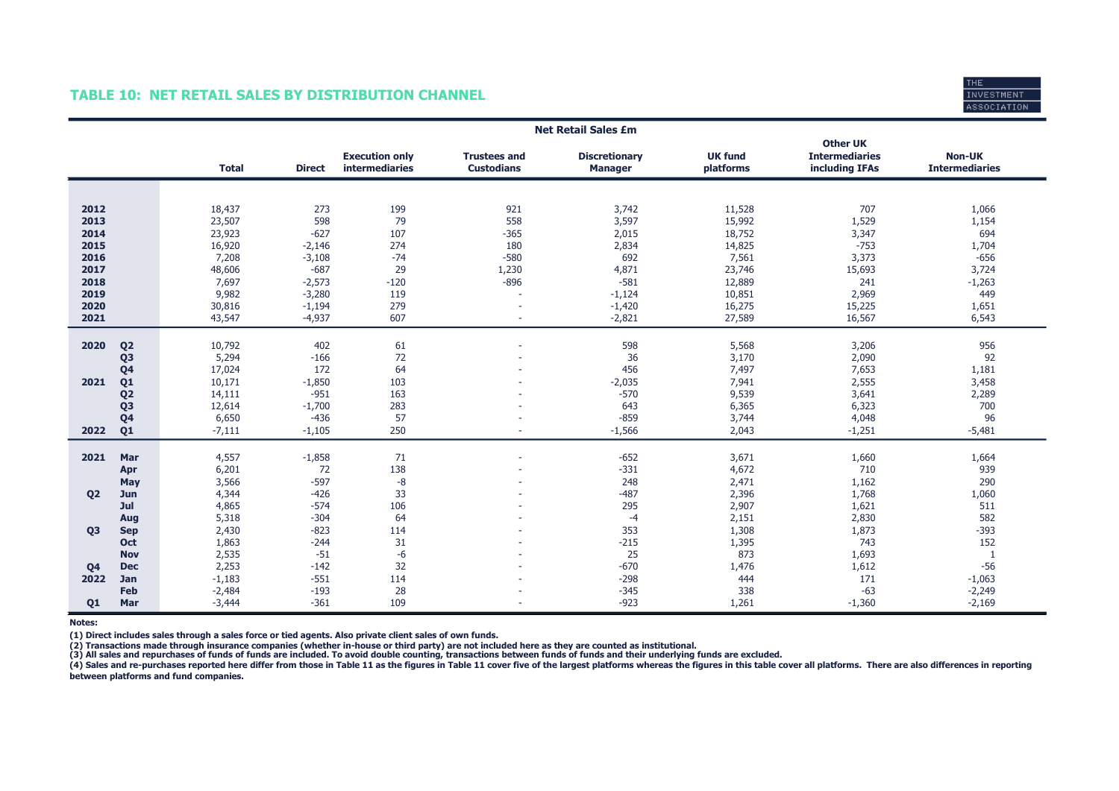### TABLE 10: NET RETAIL SALES BY DISTRIBUTION CHANNEL



|                |                |              |               |                                         |                                          | <b>Net Retail Sales £m</b>             |                             |                                                            |                                        |
|----------------|----------------|--------------|---------------|-----------------------------------------|------------------------------------------|----------------------------------------|-----------------------------|------------------------------------------------------------|----------------------------------------|
|                |                | <b>Total</b> | <b>Direct</b> | <b>Execution only</b><br>intermediaries | <b>Trustees and</b><br><b>Custodians</b> | <b>Discretionary</b><br><b>Manager</b> | <b>UK fund</b><br>platforms | <b>Other UK</b><br><b>Intermediaries</b><br>including IFAs | <b>Non-UK</b><br><b>Intermediaries</b> |
|                |                |              |               |                                         |                                          |                                        |                             |                                                            |                                        |
|                |                |              |               |                                         |                                          |                                        |                             |                                                            |                                        |
| 2012           |                | 18,437       | 273           | 199                                     | 921                                      | 3,742                                  | 11,528                      | 707                                                        | 1,066                                  |
| 2013           |                | 23,507       | 598           | 79                                      | 558                                      | 3,597                                  | 15,992                      | 1,529                                                      | 1,154                                  |
| 2014           |                | 23,923       | $-627$        | 107                                     | $-365$                                   | 2,015                                  | 18,752                      | 3,347                                                      | 694                                    |
| 2015           |                | 16,920       | $-2,146$      | 274                                     | 180                                      | 2,834                                  | 14,825                      | $-753$                                                     | 1,704                                  |
| 2016           |                | 7,208        | $-3,108$      | $-74$                                   | $-580$                                   | 692                                    | 7,561                       | 3,373                                                      | $-656$                                 |
| 2017           |                | 48,606       | $-687$        | 29                                      | 1,230                                    | 4,871                                  | 23,746                      | 15,693                                                     | 3,724                                  |
| 2018           |                | 7,697        | $-2,573$      | $-120$                                  | $-896$                                   | $-581$                                 | 12,889                      | 241                                                        | $-1,263$                               |
| 2019           |                | 9,982        | $-3,280$      | 119                                     | $\sim$                                   | $-1,124$                               | 10,851                      | 2,969                                                      | 449                                    |
| 2020           |                | 30,816       | $-1,194$      | 279                                     | $\sim$                                   | $-1,420$                               | 16,275                      | 15,225                                                     | 1,651                                  |
| 2021           |                | 43,547       | $-4,937$      | 607                                     | ٠                                        | $-2,821$                               | 27,589                      | 16,567                                                     | 6,543                                  |
|                |                |              |               |                                         |                                          |                                        |                             |                                                            |                                        |
| 2020           | Q <sub>2</sub> | 10,792       | 402           | 61                                      | $\sim$                                   | 598                                    | 5,568                       | 3,206                                                      | 956                                    |
|                | Q <sub>3</sub> | 5,294        | $-166$        | 72                                      |                                          | 36                                     | 3,170                       | 2,090                                                      | 92                                     |
|                | Q <sub>4</sub> | 17,024       | 172           | 64                                      |                                          | 456                                    | 7,497                       | 7,653                                                      | 1,181                                  |
| 2021           | Q <sub>1</sub> | 10,171       | $-1,850$      | 103                                     |                                          | $-2,035$                               | 7,941                       | 2,555                                                      | 3,458                                  |
|                | Q <sub>2</sub> | 14,111       | $-951$        | 163                                     |                                          | $-570$                                 | 9,539                       | 3,641                                                      | 2,289                                  |
|                | Q <sub>3</sub> | 12,614       | $-1,700$      | 283                                     | $\overline{a}$                           | 643                                    | 6,365                       | 6,323                                                      | 700                                    |
|                | Q <sub>4</sub> | 6,650        | $-436$        | 57                                      |                                          | $-859$                                 | 3,744                       | 4,048                                                      | 96                                     |
| 2022           | Q1             | $-7,111$     | $-1,105$      | 250                                     | ٠                                        | $-1,566$                               | 2,043                       | $-1,251$                                                   | $-5,481$                               |
|                |                |              |               |                                         |                                          |                                        |                             |                                                            |                                        |
| 2021           | Mar            | 4,557        | $-1,858$      | 71                                      | $\sim$                                   | $-652$                                 | 3,671                       | 1,660                                                      | 1,664                                  |
|                | Apr            | 6,201        | 72            | 138                                     |                                          | $-331$                                 | 4,672                       | 710                                                        | 939                                    |
|                | <b>May</b>     | 3,566        | $-597$        | $-8$                                    |                                          | 248                                    | 2,471                       | 1,162                                                      | 290                                    |
| Q <sub>2</sub> | Jun            | 4,344        | $-426$        | 33                                      |                                          | $-487$                                 | 2,396                       | 1,768                                                      | 1,060                                  |
|                | Jul            | 4,865        | $-574$        | 106                                     |                                          | 295                                    | 2,907                       | 1,621                                                      | 511                                    |
|                | Aug            | 5,318        | $-304$        | 64                                      |                                          | $-4$                                   | 2,151                       | 2,830                                                      | 582                                    |
| <b>Q3</b>      | <b>Sep</b>     | 2,430        | $-823$        | 114                                     |                                          | 353                                    | 1,308                       | 1,873                                                      | $-393$                                 |
|                | Oct            | 1,863        | $-244$        | 31                                      |                                          | $-215$                                 | 1,395                       | 743                                                        | 152                                    |
|                | <b>Nov</b>     | 2,535        | $-51$         | $-6$                                    |                                          | 25                                     | 873                         | 1,693                                                      | $\mathbf{1}$                           |
| Q <sub>4</sub> | <b>Dec</b>     | 2,253        | $-142$        | 32                                      |                                          | $-670$                                 | 1,476                       | 1,612                                                      | $-56$                                  |
| 2022           | Jan            | $-1,183$     | $-551$        | 114                                     |                                          | $-298$                                 | 444                         | 171                                                        | $-1,063$                               |
|                | Feb            | $-2,484$     | $-193$        | 28                                      |                                          | $-345$                                 | 338                         | $-63$                                                      | $-2,249$                               |
| 01             | Mar            | $-3,444$     | $-361$        | 109                                     | ٠                                        | $-923$                                 | 1,261                       | $-1,360$                                                   | $-2,169$                               |

Notes:

(1) Direct includes sales through a sales force or tied agents. Also private client sales of own funds.

(2) Transactions made through insurance companies (whether in-house or third party) are not included here as they are counted as institutional.<br>(3) All sales and repurchases of funds of funds are included. To avoid double

(4) Sales and re-purchases reported here differ from those in Table 11 as the figures in Table 11 cover five of the largest platforms whereas the figures in this table cover all platforms. There are also differences in rep between platforms and fund companies.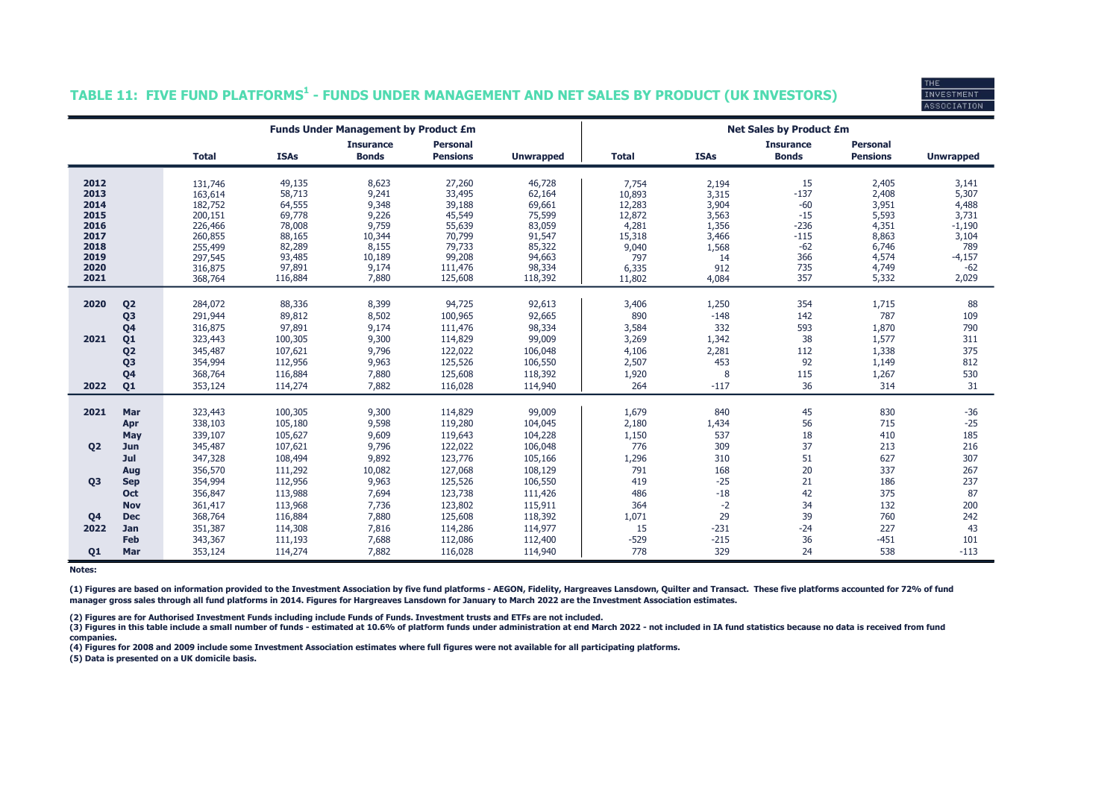# INVESTMEN<sup>.</sup> **ASSOCIATION**

### TABLE 11: FIVE FUND PLATFORMS $^{\rm 1}$  - FUNDS UNDER MANAGEMENT AND NET SALES BY PRODUCT (UK INVESTORS)

|                |                |                    |                  | <b>Funds Under Management by Product £m</b> |                                    |                  |                 |                | <b>Net Sales by Product £m</b>   |                                    |                   |
|----------------|----------------|--------------------|------------------|---------------------------------------------|------------------------------------|------------------|-----------------|----------------|----------------------------------|------------------------------------|-------------------|
|                |                | <b>Total</b>       | <b>ISAs</b>      | <b>Insurance</b><br><b>Bonds</b>            | <b>Personal</b><br><b>Pensions</b> | <b>Unwrapped</b> | <b>Total</b>    | <b>ISAs</b>    | <b>Insurance</b><br><b>Bonds</b> | <b>Personal</b><br><b>Pensions</b> | <b>Unwrapped</b>  |
|                |                |                    |                  |                                             |                                    |                  |                 |                |                                  |                                    |                   |
| 2012           |                | 131,746            | 49,135           | 8,623                                       | 27,260                             | 46,728           | 7,754           | 2,194          | 15                               | 2,405                              | 3,141             |
| 2013           |                | 163,614            | 58,713           | 9,241                                       | 33,495                             | 62,164           | 10,893          | 3,315          | $-137$                           | 2,408                              | 5,307             |
| 2014           |                | 182,752            | 64,555           | 9,348                                       | 39,188                             | 69,661           | 12,283          | 3,904          | $-60$                            | 3,951                              | 4,488             |
| 2015<br>2016   |                | 200,151<br>226,466 | 69,778<br>78,008 | 9,226<br>9,759                              | 45,549<br>55,639                   | 75,599<br>83,059 | 12,872<br>4,281 | 3,563<br>1,356 | $-15$<br>$-236$                  | 5,593<br>4,351                     | 3,731<br>$-1,190$ |
| 2017           |                | 260,855            | 88,165           | 10,344                                      | 70,799                             | 91,547           | 15,318          | 3,466          | $-115$                           | 8,863                              | 3,104             |
| 2018           |                | 255,499            | 82,289           | 8,155                                       | 79,733                             | 85,322           | 9,040           | 1,568          | $-62$                            | 6,746                              | 789               |
| 2019           |                | 297,545            | 93,485           | 10,189                                      | 99,208                             | 94,663           | 797             | 14             | 366                              | 4,574                              | $-4,157$          |
| 2020           |                | 316,875            | 97,891           | 9,174                                       | 111,476                            | 98,334           | 6,335           | 912            | 735                              | 4,749                              | $-62$             |
| 2021           |                | 368,764            | 116,884          | 7,880                                       | 125,608                            | 118,392          | 11,802          | 4,084          | 357                              | 5,332                              | 2,029             |
|                |                |                    |                  |                                             |                                    |                  |                 |                |                                  |                                    |                   |
| 2020           | Q <sub>2</sub> | 284,072            | 88,336           | 8,399                                       | 94,725                             | 92,613           | 3,406           | 1,250          | 354                              | 1,715                              | 88                |
|                | Q <sub>3</sub> | 291,944            | 89,812           | 8,502                                       | 100,965                            | 92,665           | 890             | $-148$         | 142                              | 787                                | 109               |
|                | Q <sub>4</sub> | 316,875            | 97,891           | 9,174                                       | 111,476                            | 98,334           | 3,584           | 332            | 593                              | 1,870                              | 790               |
| 2021           | Q <sub>1</sub> | 323,443            | 100,305          | 9,300                                       | 114,829                            | 99,009           | 3,269           | 1,342          | 38                               | 1,577                              | 311               |
|                | Q <sub>2</sub> | 345,487            | 107,621          | 9,796                                       | 122,022                            | 106,048          | 4,106           | 2,281          | 112                              | 1,338                              | 375               |
|                | Q <sub>3</sub> | 354,994            | 112,956          | 9,963                                       | 125,526                            | 106,550          | 2,507           | 453            | 92                               | 1,149                              | 812               |
|                | Q <sub>4</sub> | 368,764            | 116,884          | 7,880                                       | 125,608                            | 118,392          | 1,920           | 8              | 115                              | 1,267                              | 530               |
| 2022           | Q1             | 353,124            | 114,274          | 7,882                                       | 116,028                            | 114,940          | 264             | $-117$         | 36                               | 314                                | 31                |
| 2021           | Mar            | 323,443            | 100,305          | 9,300                                       | 114,829                            | 99,009           | 1,679           | 840            | 45                               | 830                                | $-36$             |
|                | Apr            | 338,103            | 105,180          | 9,598                                       | 119,280                            | 104,045          | 2,180           | 1,434          | 56                               | 715                                | $-25$             |
|                | May            | 339,107            | 105,627          | 9,609                                       | 119,643                            | 104,228          | 1,150           | 537            | 18                               | 410                                | 185               |
| Q <sub>2</sub> | Jun            | 345,487            | 107,621          | 9,796                                       | 122,022                            | 106,048          | 776             | 309            | 37                               | 213                                | 216               |
|                | Jul            | 347,328            | 108,494          | 9,892                                       | 123,776                            | 105,166          | 1,296           | 310            | 51                               | 627                                | 307               |
|                | Aug            | 356,570            | 111,292          | 10,082                                      | 127,068                            | 108,129          | 791             | 168            | 20                               | 337                                | 267               |
| <b>Q3</b>      | <b>Sep</b>     | 354,994            | 112,956          | 9,963                                       | 125,526                            | 106,550          | 419             | $-25$          | 21                               | 186                                | 237               |
|                | Oct            | 356,847            | 113,988          | 7,694                                       | 123,738                            | 111,426          | 486             | $-18$          | 42                               | 375                                | 87                |
|                | <b>Nov</b>     | 361,417            | 113,968          | 7,736                                       | 123,802                            | 115,911          | 364             | $-2$           | 34                               | 132                                | 200               |
| Q <sub>4</sub> | <b>Dec</b>     | 368,764            | 116,884          | 7,880                                       | 125,608                            | 118,392          | 1,071           | 29             | 39                               | 760                                | 242               |
| 2022           | Jan            | 351,387            | 114,308          | 7,816                                       | 114,286                            | 114,977          | 15              | $-231$         | $-24$                            | 227                                | 43                |
|                | Feb            | 343,367            | 111,193          | 7,688                                       | 112,086                            | 112,400          | $-529$          | $-215$         | 36                               | $-451$                             | 101               |
| Q1             | Mar            | 353,124            | 114,274          | 7,882                                       | 116,028                            | 114,940          | 778             | 329            | 24                               | 538                                | $-113$            |

Notes:

(1) Figures are based on information provided to the Investment Association by five fund platforms - AEGON, Fidelity, Hargreaves Lansdown, Quilter and Transact. These five platforms accounted for 72% of fund manager gross sales through all fund platforms in 2014. Figures for Hargreaves Lansdown for January to March 2022 are the Investment Association estimates.

(2) Figures are for Authorised Investment Funds including include Funds of Funds. Investment trusts and ETFs are not included.

(3) Figures in this table include a small number of funds - estimated at 10.6% of platform funds under administration at end March 2022 - not included in IA fund statistics because no data is received from fund companies.

(4) Figures for 2008 and 2009 include some Investment Association estimates where full figures were not available for all participating platforms.

(5) Data is presented on a UK domicile basis.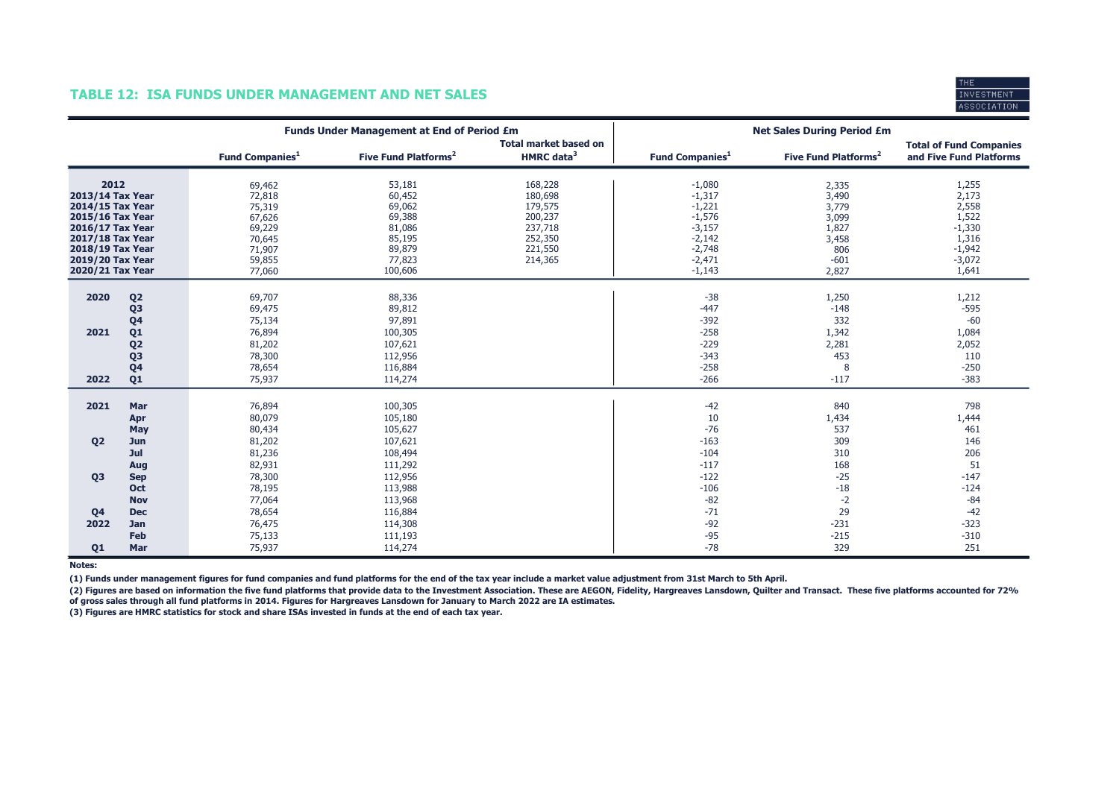#### rup **INVESTMEN** ASSOCIATION

#### TABLE 12: ISA FUNDS UNDER MANAGEMENT AND NET SALES

|                                                                                                                                                                      |                                                                                                                                  | <b>Funds Under Management at End of Period £m</b>                                      |                                                                                         |                                                                                      | <b>Net Sales During Period £m</b>                                                                        |                                                                              |                                                                                        |
|----------------------------------------------------------------------------------------------------------------------------------------------------------------------|----------------------------------------------------------------------------------------------------------------------------------|----------------------------------------------------------------------------------------|-----------------------------------------------------------------------------------------|--------------------------------------------------------------------------------------|----------------------------------------------------------------------------------------------------------|------------------------------------------------------------------------------|----------------------------------------------------------------------------------------|
|                                                                                                                                                                      |                                                                                                                                  | <b>Fund Companies</b> <sup>1</sup>                                                     | Five Fund Platforms <sup>2</sup>                                                        | <b>Total market based on</b><br>HMRC data <sup>3</sup>                               | <b>Fund Companies</b> <sup>1</sup>                                                                       | Five Fund Platforms <sup>2</sup>                                             | <b>Total of Fund Companies</b><br>and Five Fund Platforms                              |
| 2012<br>2013/14 Tax Year<br>2014/15 Tax Year<br>2015/16 Tax Year<br>2016/17 Tax Year<br>2017/18 Tax Year<br>2018/19 Tax Year<br>2019/20 Tax Year<br>2020/21 Tax Year |                                                                                                                                  | 69,462<br>72,818<br>75,319<br>67,626<br>69,229<br>70,645<br>71,907<br>59,855<br>77,060 | 53,181<br>60,452<br>69,062<br>69,388<br>81,086<br>85,195<br>89,879<br>77,823<br>100,606 | 168,228<br>180,698<br>179,575<br>200,237<br>237,718<br>252,350<br>221,550<br>214,365 | $-1,080$<br>$-1,317$<br>$-1,221$<br>$-1,576$<br>$-3,157$<br>$-2,142$<br>$-2,748$<br>$-2,471$<br>$-1,143$ | 2,335<br>3,490<br>3,779<br>3,099<br>1,827<br>3,458<br>806<br>$-601$<br>2,827 | 1,255<br>2,173<br>2,558<br>1,522<br>$-1,330$<br>1,316<br>$-1,942$<br>$-3,072$<br>1,641 |
| 2020<br>2021<br>2022                                                                                                                                                 | Q <sub>2</sub><br>Q <sub>3</sub><br>Q <sub>4</sub><br>Q <sub>1</sub><br>Q <sub>2</sub><br>Q <sub>3</sub><br>Q <sub>4</sub><br>Q1 | 69,707<br>69,475<br>75,134<br>76,894<br>81,202<br>78,300<br>78,654<br>75,937           | 88,336<br>89,812<br>97,891<br>100,305<br>107,621<br>112,956<br>116,884<br>114,274       |                                                                                      | $-38$<br>$-447$<br>$-392$<br>$-258$<br>$-229$<br>$-343$<br>$-258$<br>$-266$                              | 1,250<br>$-148$<br>332<br>1,342<br>2,281<br>453<br>8<br>$-117$               | 1,212<br>$-595$<br>$-60$<br>1,084<br>2,052<br>110<br>$-250$<br>$-383$                  |
| 2021<br>Q <sub>2</sub>                                                                                                                                               | Mar<br>Apr<br>May                                                                                                                | 76,894<br>80,079<br>80,434                                                             | 100,305<br>105,180<br>105,627<br>107,621                                                |                                                                                      | $-42$<br>10<br>$-76$<br>$-163$                                                                           | 840<br>1,434<br>537<br>309                                                   | 798<br>1,444<br>461<br>146                                                             |
| Q <sub>3</sub>                                                                                                                                                       | Jun<br>Jul<br>Aug<br><b>Sep</b><br><b>Oct</b>                                                                                    | 81,202<br>81,236<br>82,931<br>78,300<br>78,195                                         | 108,494<br>111,292<br>112,956<br>113,988                                                |                                                                                      | $-104$<br>$-117$<br>$-122$<br>$-106$                                                                     | 310<br>168<br>$-25$<br>$-18$                                                 | 206<br>51<br>$-147$<br>$-124$                                                          |
| Q <sub>4</sub><br>2022<br>Q1                                                                                                                                         | <b>Nov</b><br><b>Dec</b><br><b>Jan</b><br>Feb<br>Mar                                                                             | 77,064<br>78,654<br>76,475<br>75,133<br>75,937                                         | 113,968<br>116,884<br>114,308<br>111,193<br>114,274                                     |                                                                                      | $-82$<br>$-71$<br>$-92$<br>$-95$<br>$-78$                                                                | $-2$<br>29<br>$-231$<br>$-215$<br>329                                        | $-84$<br>$-42$<br>$-323$<br>$-310$<br>251                                              |

Notes:

(1) Funds under management figures for fund companies and fund platforms for the end of the tax year include a market value adjustment from 31st March to 5th April.

(2) Figures are based on information the five fund platforms that provide data to the Investment Association. These are AEGON, Fidelity, Hargreaves Lansdown, Quilter and Transact. These five platforms accounted for 72% of gross sales through all fund platforms in 2014. Figures for Hargreaves Lansdown for January to March 2022 are IA estimates.

(3) Figures are HMRC statistics for stock and share ISAs invested in funds at the end of each tax year.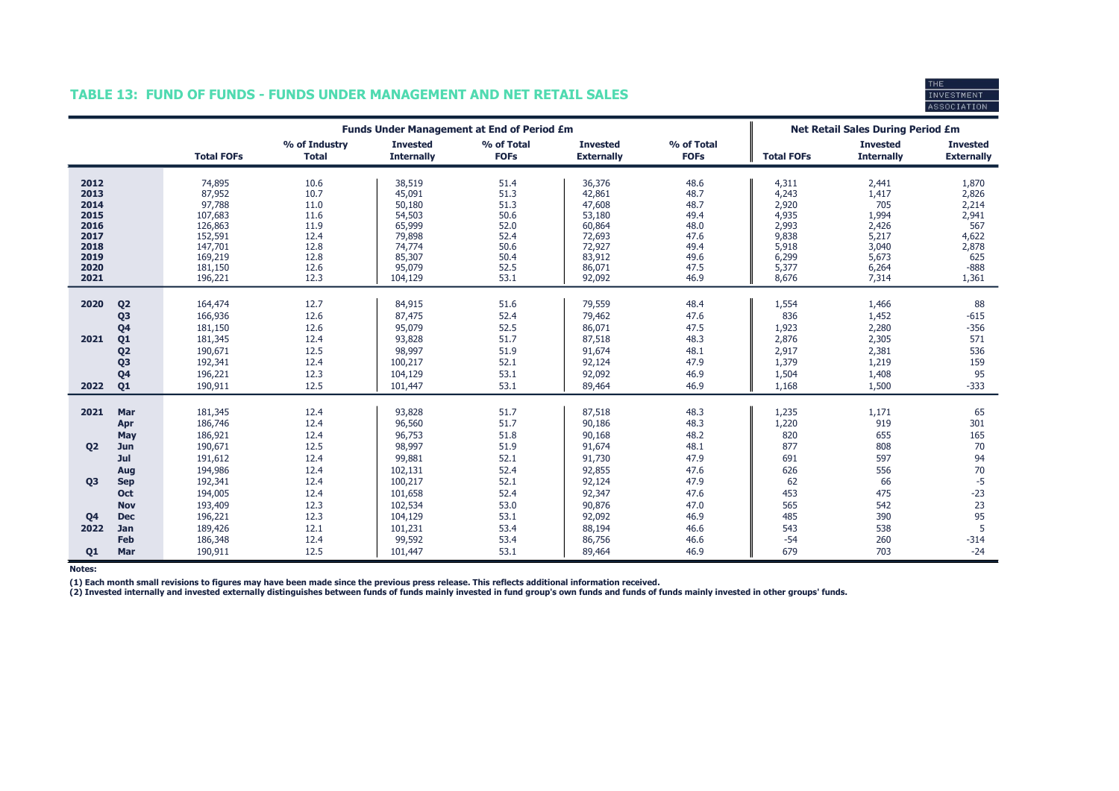### TABLE 13: FUND OF FUNDS - FUNDS UNDER MANAGEMENT AND NET RETAIL SALES



|                             |                                                      | <b>Funds Under Management at End of Period £m</b> |                               |                                          |                              |                                      |                              | <b>Net Retail Sales During Period £m</b> |                                      |                                      |
|-----------------------------|------------------------------------------------------|---------------------------------------------------|-------------------------------|------------------------------------------|------------------------------|--------------------------------------|------------------------------|------------------------------------------|--------------------------------------|--------------------------------------|
|                             |                                                      | <b>Total FOFs</b>                                 | % of Industry<br><b>Total</b> | <b>Invested</b><br><b>Internally</b>     | % of Total<br><b>FOFs</b>    | <b>Invested</b><br><b>Externally</b> | % of Total<br><b>FOFs</b>    | <b>Total FOFs</b>                        | <b>Invested</b><br><b>Internally</b> | <b>Invested</b><br><b>Externally</b> |
| 2012                        |                                                      | 74,895                                            | 10.6                          | 38,519                                   | 51.4                         | 36,376                               | 48.6                         | 4,311                                    | 2,441                                | 1,870                                |
| 2013                        |                                                      | 87,952                                            | 10.7                          | 45,091                                   | 51.3                         | 42,861                               | 48.7                         | 4,243                                    | 1,417                                | 2,826                                |
| 2014                        |                                                      | 97,788                                            | 11.0                          | 50,180                                   | 51.3                         | 47,608                               | 48.7                         | 2,920                                    | 705                                  | 2,214                                |
| 2015                        |                                                      | 107,683                                           | 11.6                          | 54,503                                   | 50.6                         | 53,180                               | 49.4                         | 4,935                                    | 1,994                                | 2,941                                |
| 2016                        |                                                      | 126,863                                           | 11.9                          | 65,999                                   | 52.0                         | 60,864                               | 48.0                         | 2,993                                    | 2,426                                | 567                                  |
| 2017                        |                                                      | 152,591                                           | 12.4                          | 79,898                                   | 52.4                         | 72,693                               | 47.6                         | 9,838                                    | 5,217                                | 4,622                                |
| 2018                        |                                                      | 147,701                                           | 12.8                          | 74,774                                   | 50.6                         | 72,927                               | 49.4                         | 5,918                                    | 3,040                                | 2,878                                |
| 2019                        |                                                      | 169,219                                           | 12.8                          | 85,307                                   | 50.4                         | 83,912                               | 49.6                         | 6,299                                    | 5,673                                | 625                                  |
| 2020                        |                                                      | 181,150                                           | 12.6                          | 95,079                                   | 52.5                         | 86,071                               | 47.5                         | 5,377                                    | 6,264                                | $-888$                               |
| 2021                        |                                                      | 196,221                                           | 12.3                          | 104,129                                  | 53.1                         | 92,092                               | 46.9                         | 8,676                                    | 7,314                                | 1,361                                |
| 2020                        | Q <sub>2</sub>                                       | 164,474                                           | 12.7                          | 84,915                                   | 51.6                         | 79,559                               | 48.4                         | 1,554                                    | 1,466                                | 88                                   |
|                             | Q <sub>3</sub>                                       | 166,936                                           | 12.6                          | 87,475                                   | 52.4                         | 79,462                               | 47.6                         | 836                                      | 1,452                                | $-615$                               |
|                             | Q <sub>4</sub>                                       | 181,150                                           | 12.6                          | 95,079                                   | 52.5                         | 86,071                               | 47.5                         | 1,923                                    | 2,280                                | $-356$                               |
| 2021                        | Q <sub>1</sub>                                       | 181,345                                           | 12.4                          | 93,828                                   | 51.7                         | 87,518                               | 48.3                         | 2,876                                    | 2,305                                | 571                                  |
|                             | Q <sub>2</sub>                                       | 190,671                                           | 12.5                          | 98,997                                   | 51.9                         | 91,674                               | 48.1                         | 2,917                                    | 2,381                                | 536                                  |
|                             | Q <sub>3</sub>                                       | 192,341                                           | 12.4                          | 100,217                                  | 52.1                         | 92,124                               | 47.9                         | 1,379                                    | 1,219                                | 159                                  |
|                             | Q <sub>4</sub>                                       | 196,221                                           | 12.3                          | 104,129                                  | 53.1                         | 92,092                               | 46.9                         | 1,504                                    | 1,408                                | 95                                   |
| 2022                        | Q <sub>1</sub>                                       | 190,911                                           | 12.5                          | 101,447                                  | 53.1                         | 89,464                               | 46.9                         | 1,168                                    | 1,500                                | $-333$                               |
| 2021                        | Mar                                                  | 181,345                                           | 12.4                          | 93,828                                   | 51.7                         | 87,518                               | 48.3                         | 1,235                                    | 1,171                                | 65                                   |
|                             | Apr                                                  | 186,746                                           | 12.4                          | 96,560                                   | 51.7                         | 90,186                               | 48.3                         | 1,220                                    | 919                                  | 301                                  |
|                             | May                                                  | 186,921                                           | 12.4                          | 96,753                                   | 51.8                         | 90,168                               | 48.2                         | 820                                      | 655                                  | 165                                  |
| <b>Q2</b>                   | Jun                                                  | 190,671                                           | 12.5                          | 98,997                                   | 51.9                         | 91,674                               | 48.1                         | 877                                      | 808                                  | 70                                   |
|                             | Jul                                                  | 191,612                                           | 12.4                          | 99,881                                   | 52.1                         | 91,730                               | 47.9                         | 691                                      | 597                                  | 94                                   |
|                             | Aug                                                  | 194,986                                           | 12.4                          | 102,131                                  | 52.4                         | 92,855                               | 47.6                         | 626                                      | 556                                  | 70                                   |
| <b>Q3</b><br>Q <sub>4</sub> | <b>Sep</b><br><b>Oct</b><br><b>Nov</b><br><b>Dec</b> | 192,341<br>194,005<br>193,409<br>196,221          | 12.4<br>12.4<br>12.3<br>12.3  | 100,217<br>101,658<br>102,534<br>104,129 | 52.1<br>52.4<br>53.0<br>53.1 | 92,124<br>92,347<br>90,876<br>92,092 | 47.9<br>47.6<br>47.0<br>46.9 | 62<br>453<br>565<br>485                  | 66<br>475<br>542<br>390              | $-5$<br>$-23$<br>23<br>95            |
| 2022<br>Q1                  | Jan<br>Feb<br>Mar                                    | 189,426<br>186,348<br>190,911                     | 12.1<br>12.4<br>12.5          | 101,231<br>99,592<br>101,447             | 53.4<br>53.4<br>53.1         | 88,194<br>86,756<br>89,464           | 46.6<br>46.6<br>46.9         | 543<br>$-54$<br>679                      | 538<br>260<br>703                    | 5<br>$-314$<br>$-24$                 |

Notes:

(1) Each month small revisions to figures may have been made since the previous press release. This reflects additional information received.<br>(2) Invested internally and invested externally distinguishes between funds of f